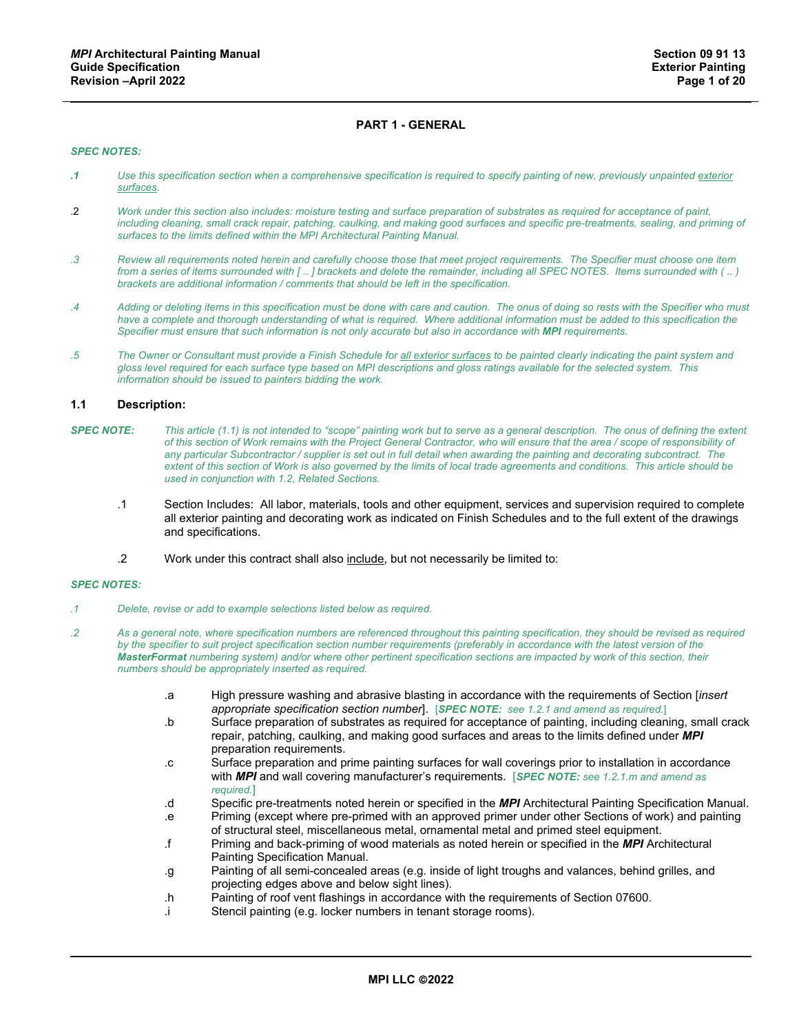# **PART 1 - GENERAL**

#### *SPEC NOTES:*

- *.1 Use this specification section when a comprehensive specification is required to specify painting of new, previously unpainted exterior surfaces.*
- .2 *Work under this section also includes: moisture testing and surface preparation of substrates as required for acceptance of paint, including cleaning, small crack repair, patching, caulking, and making good surfaces and specific pre-treatments, sealing, and priming of surfaces to the limits defined within the MPI Architectural Painting Manual.*
- *.3 Review all requirements noted herein and carefully choose those that meet project requirements. The Specifier must choose one item from a series of items surrounded with [ .. ] brackets and delete the remainder, including all SPEC NOTES. Items surrounded with ( .. ) brackets are additional information / comments that should be left in the specification.*
- *.4 Adding or deleting items in this specification must be done with care and caution. The onus of doing so rests with the Specifier who must*  have a complete and thorough understanding of what is required. Where additional information must be added to this specification the *Specifier must ensure that such information is not only accurate but also in accordance with MPI requirements.*
- *.5 The Owner or Consultant must provide a Finish Schedule for all exterior surfaces to be painted clearly indicating the paint system and gloss level required for each surface type based on MPI descriptions and gloss ratings available for the selected system. This information should be issued to painters bidding the work.*

#### **1.1 Description:**

- *SPEC NOTE: This article (1.1) is not intended to "scope" painting work but to serve as a general description. The onus of defining the extent of this section of Work remains with the Project General Contractor, who will ensure that the area / scope of responsibility of any particular Subcontractor / supplier is set out in full detail when awarding the painting and decorating subcontract. The extent of this section of Work is also governed by the limits of local trade agreements and conditions. This article should be used in conjunction with 1.2, Related Sections.*
	- .1 Section Includes: All labor, materials, tools and other equipment, services and supervision required to complete all exterior painting and decorating work as indicated on Finish Schedules and to the full extent of the drawings and specifications.
	- .2 Work under this contract shall also include, but not necessarily be limited to:

- *.1 Delete, revise or add to example selections listed below as required.*
- *.2 As a general note, where specification numbers are referenced throughout this painting specification, they should be revised as required*  by the specifier to suit project specification section number requirements (preferably in accordance with the latest version of the *MasterFormat numbering system) and/or where other pertinent specification sections are impacted by work of this section, their numbers should be appropriately inserted as required.*
	- .a High pressure washing and abrasive blasting in accordance with the requirements of Section [*insert appropriate specification section number*]. [*SPEC NOTE: see 1.2.1 and amend as required.*]
	- .b Surface preparation of substrates as required for acceptance of painting, including cleaning, small crack repair, patching, caulking, and making good surfaces and areas to the limits defined under *MPI* preparation requirements.
	- .c Surface preparation and prime painting surfaces for wall coverings prior to installation in accordance with *MPI* and wall covering manufacturer's requirements. [*SPEC NOTE: see 1.2.1.m and amend as required.*]
	- .d Specific pre-treatments noted herein or specified in the *MPI* Architectural Painting Specification Manual.
	- .e Priming (except where pre-primed with an approved primer under other Sections of work) and painting of structural steel, miscellaneous metal, ornamental metal and primed steel equipment.
	- .f Priming and back-priming of wood materials as noted herein or specified in the *MPI* Architectural Painting Specification Manual.
	- .g Painting of all semi-concealed areas (e.g. inside of light troughs and valances, behind grilles, and projecting edges above and below sight lines).
	- .h Painting of roof vent flashings in accordance with the requirements of Section 07600.
	- .i Stencil painting (e.g. locker numbers in tenant storage rooms).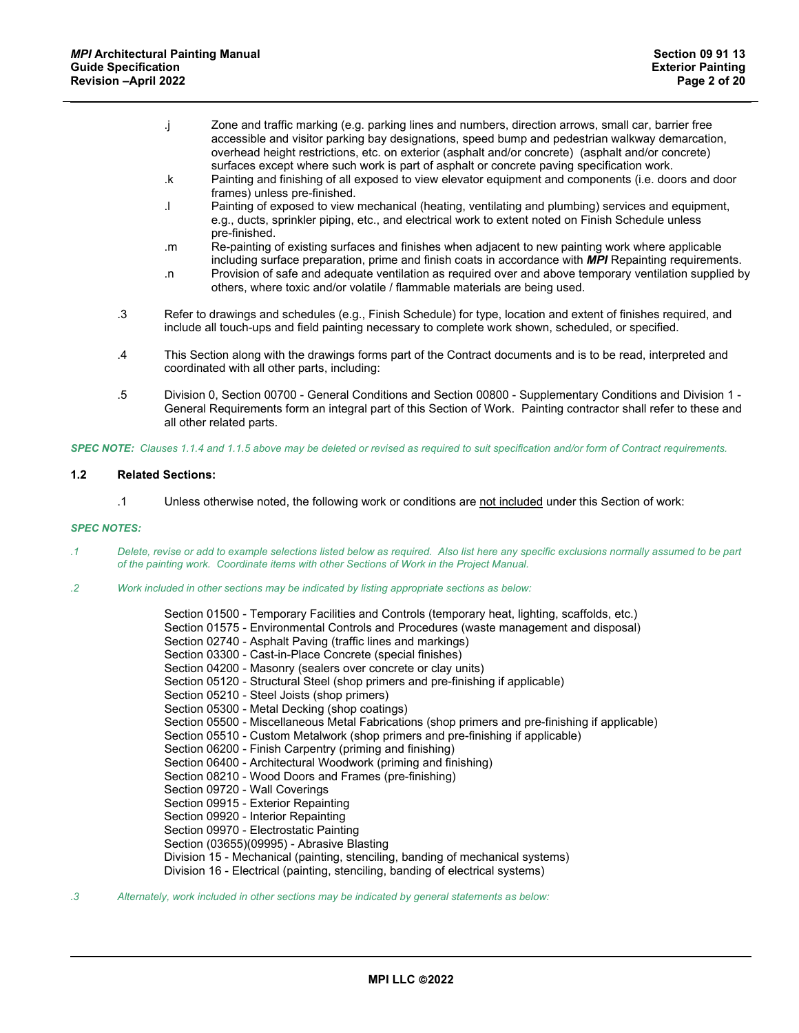- .j Zone and traffic marking (e.g. parking lines and numbers, direction arrows, small car, barrier free accessible and visitor parking bay designations, speed bump and pedestrian walkway demarcation, overhead height restrictions, etc. on exterior (asphalt and/or concrete) (asphalt and/or concrete) surfaces except where such work is part of asphalt or concrete paving specification work.
- .k Painting and finishing of all exposed to view elevator equipment and components (i.e. doors and door frames) unless pre-finished.
- .l Painting of exposed to view mechanical (heating, ventilating and plumbing) services and equipment, e.g., ducts, sprinkler piping, etc., and electrical work to extent noted on Finish Schedule unless pre-finished.
- .m Re-painting of existing surfaces and finishes when adjacent to new painting work where applicable including surface preparation, prime and finish coats in accordance with *MPI* Repainting requirements.
- .n Provision of safe and adequate ventilation as required over and above temporary ventilation supplied by others, where toxic and/or volatile / flammable materials are being used.
- .3 Refer to drawings and schedules (e.g., Finish Schedule) for type, location and extent of finishes required, and include all touch-ups and field painting necessary to complete work shown, scheduled, or specified.
- .4 This Section along with the drawings forms part of the Contract documents and is to be read, interpreted and coordinated with all other parts, including:
- .5 Division 0, Section 00700 General Conditions and Section 00800 Supplementary Conditions and Division 1 General Requirements form an integral part of this Section of Work. Painting contractor shall refer to these and all other related parts.

*SPEC NOTE: Clauses 1.1.4 and 1.1.5 above may be deleted or revised as required to suit specification and/or form of Contract requirements.*

## **1.2 Related Sections:**

.1 Unless otherwise noted, the following work or conditions are not included under this Section of work:

## *SPEC NOTES:*

- *.1 Delete, revise or add to example selections listed below as required. Also list here any specific exclusions normally assumed to be part of the painting work. Coordinate items with other Sections of Work in the Project Manual.*
- *.2 Work included in other sections may be indicated by listing appropriate sections as below:*

Section 01500 - Temporary Facilities and Controls (temporary heat, lighting, scaffolds, etc.) Section 01575 - Environmental Controls and Procedures (waste management and disposal) Section 02740 - Asphalt Paving (traffic lines and markings) Section 03300 - Cast-in-Place Concrete (special finishes) Section 04200 - Masonry (sealers over concrete or clay units) Section 05120 - Structural Steel (shop primers and pre-finishing if applicable) Section 05210 - Steel Joists (shop primers) Section 05300 - Metal Decking (shop coatings) Section 05500 - Miscellaneous Metal Fabrications (shop primers and pre-finishing if applicable) Section 05510 - Custom Metalwork (shop primers and pre-finishing if applicable) Section 06200 - Finish Carpentry (priming and finishing) Section 06400 - Architectural Woodwork (priming and finishing) Section 08210 - Wood Doors and Frames (pre-finishing) Section 09720 - Wall Coverings Section 09915 - Exterior Repainting Section 09920 - Interior Repainting Section 09970 - Electrostatic Painting Section (03655)(09995) - Abrasive Blasting Division 15 - Mechanical (painting, stenciling, banding of mechanical systems) Division 16 - Electrical (painting, stenciling, banding of electrical systems)

*.3 Alternately, work included in other sections may be indicated by general statements as below:*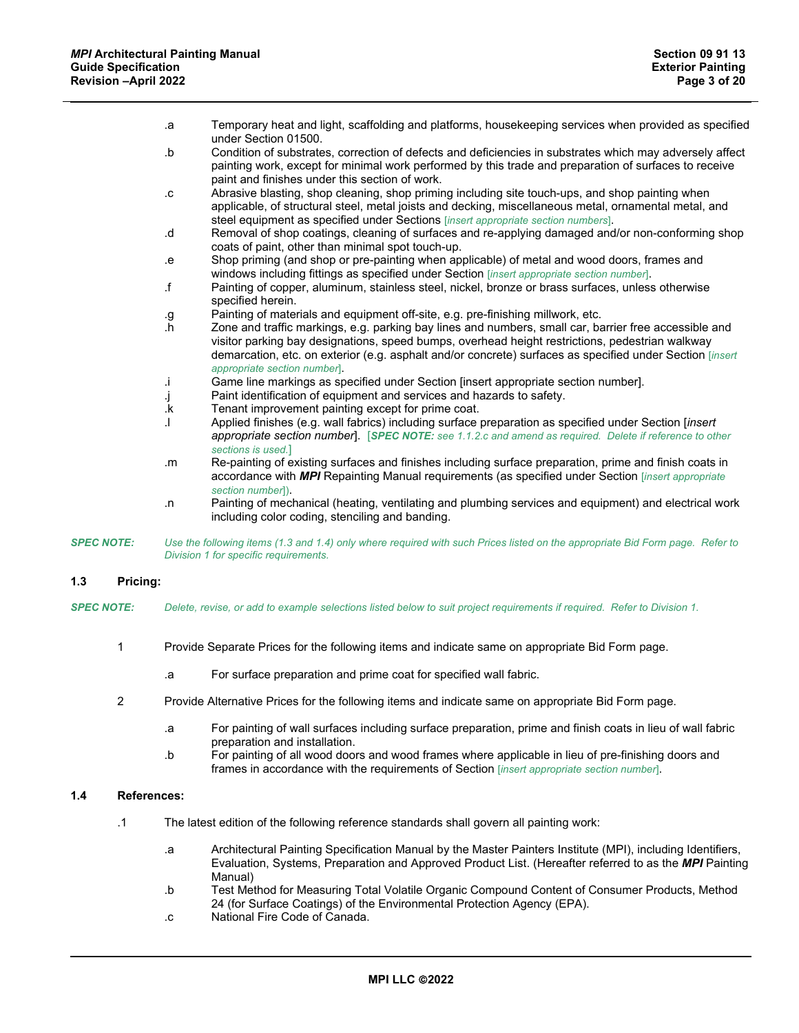|                   | .a            | Temporary heat and light, scaffolding and platforms, housekeeping services when provided as specified<br>under Section 01500.                                                                                                                                                                                                                         |
|-------------------|---------------|-------------------------------------------------------------------------------------------------------------------------------------------------------------------------------------------------------------------------------------------------------------------------------------------------------------------------------------------------------|
|                   | .b            | Condition of substrates, correction of defects and deficiencies in substrates which may adversely affect<br>painting work, except for minimal work performed by this trade and preparation of surfaces to receive<br>paint and finishes under this section of work.                                                                                   |
|                   | . $\mathbf c$ | Abrasive blasting, shop cleaning, shop priming including site touch-ups, and shop painting when<br>applicable, of structural steel, metal joists and decking, miscellaneous metal, ornamental metal, and<br>steel equipment as specified under Sections [insert appropriate section numbers].                                                         |
|                   | .d            | Removal of shop coatings, cleaning of surfaces and re-applying damaged and/or non-conforming shop<br>coats of paint, other than minimal spot touch-up.                                                                                                                                                                                                |
|                   | $\cdot$ e     | Shop priming (and shop or pre-painting when applicable) of metal and wood doors, frames and<br>windows including fittings as specified under Section [insert appropriate section number].                                                                                                                                                             |
|                   | $\mathbf{f}$  | Painting of copper, aluminum, stainless steel, nickel, bronze or brass surfaces, unless otherwise<br>specified herein.                                                                                                                                                                                                                                |
|                   | $\cdot9$      | Painting of materials and equipment off-site, e.g. pre-finishing millwork, etc.                                                                                                                                                                                                                                                                       |
|                   | $\cdot$ h     | Zone and traffic markings, e.g. parking bay lines and numbers, small car, barrier free accessible and<br>visitor parking bay designations, speed bumps, overhead height restrictions, pedestrian walkway<br>demarcation, etc. on exterior (e.g. asphalt and/or concrete) surfaces as specified under Section [insert]<br>appropriate section number]. |
|                   | j.            | Game line markings as specified under Section [insert appropriate section number].                                                                                                                                                                                                                                                                    |
|                   | j.            | Paint identification of equipment and services and hazards to safety.                                                                                                                                                                                                                                                                                 |
|                   | .k            | Tenant improvement painting except for prime coat.                                                                                                                                                                                                                                                                                                    |
|                   | ۱.            | Applied finishes (e.g. wall fabrics) including surface preparation as specified under Section [insert<br>appropriate section number]. [SPEC NOTE: see 1.1.2.c and amend as required. Delete if reference to other<br>sections is used.]                                                                                                               |
|                   | .m            | Re-painting of existing surfaces and finishes including surface preparation, prime and finish coats in<br>accordance with MPI Repainting Manual requirements (as specified under Section [insert appropriate<br>section number]).                                                                                                                     |
|                   | .n            | Painting of mechanical (heating, ventilating and plumbing services and equipment) and electrical work<br>including color coding, stenciling and banding.                                                                                                                                                                                              |
| <b>SPEC NOTE:</b> |               | Use the following items (1.3 and 1.4) only where required with such Prices listed on the appropriate Bid Form page. Refer to<br>Division 1 for specific requirements.                                                                                                                                                                                 |

#### **1.3 Pricing:**

- *SPEC NOTE: Delete, revise, or add to example selections listed below to suit project requirements if required. Refer to Division 1.*
	- 1 Provide Separate Prices for the following items and indicate same on appropriate Bid Form page.
		- .a For surface preparation and prime coat for specified wall fabric.
	- 2 Provide Alternative Prices for the following items and indicate same on appropriate Bid Form page.
		- .a For painting of wall surfaces including surface preparation, prime and finish coats in lieu of wall fabric preparation and installation.
		- .b For painting of all wood doors and wood frames where applicable in lieu of pre-finishing doors and frames in accordance with the requirements of Section [*insert appropriate section number*].

# **1.4 References:**

- .1 The latest edition of the following reference standards shall govern all painting work:
	- .a Architectural Painting Specification Manual by the Master Painters Institute (MPI), including Identifiers, Evaluation, Systems, Preparation and Approved Product List. (Hereafter referred to as the *MPI* Painting Manual)
	- .b Test Method for Measuring Total Volatile Organic Compound Content of Consumer Products, Method 24 (for Surface Coatings) of the Environmental Protection Agency (EPA).
	- .c National Fire Code of Canada.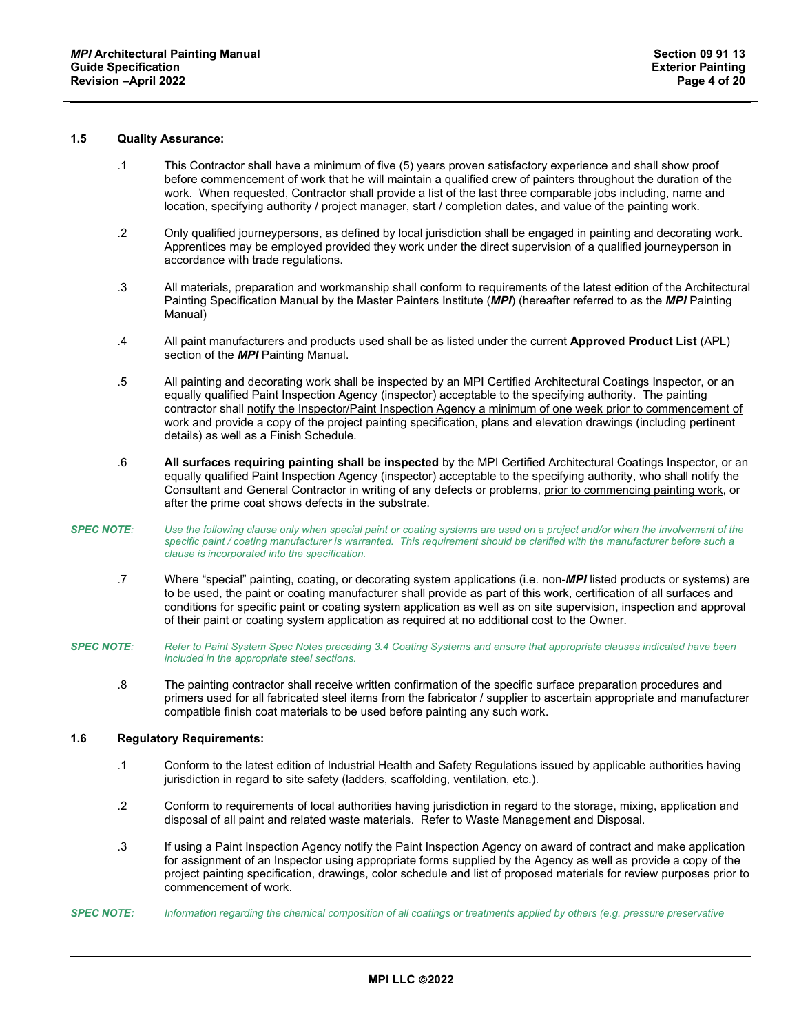# **1.5 Quality Assurance:**

- .1 This Contractor shall have a minimum of five (5) years proven satisfactory experience and shall show proof before commencement of work that he will maintain a qualified crew of painters throughout the duration of the work. When requested, Contractor shall provide a list of the last three comparable jobs including, name and location, specifying authority / project manager, start / completion dates, and value of the painting work.
- .2 Only qualified journeypersons, as defined by local jurisdiction shall be engaged in painting and decorating work. Apprentices may be employed provided they work under the direct supervision of a qualified journeyperson in accordance with trade regulations.
- .3 All materials, preparation and workmanship shall conform to requirements of the latest edition of the Architectural Painting Specification Manual by the Master Painters Institute (*MPI*) (hereafter referred to as the *MPI* Painting Manual)
- .4 All paint manufacturers and products used shall be as listed under the current **Approved Product List** (APL) section of the *MPI* Painting Manual.
- .5 All painting and decorating work shall be inspected by an MPI Certified Architectural Coatings Inspector, or an equally qualified Paint Inspection Agency (inspector) acceptable to the specifying authority. The painting contractor shall notify the Inspector/Paint Inspection Agency a minimum of one week prior to commencement of work and provide a copy of the project painting specification, plans and elevation drawings (including pertinent details) as well as a Finish Schedule.
- .6 **All surfaces requiring painting shall be inspected** by the MPI Certified Architectural Coatings Inspector, or an equally qualified Paint Inspection Agency (inspector) acceptable to the specifying authority, who shall notify the Consultant and General Contractor in writing of any defects or problems, prior to commencing painting work, or after the prime coat shows defects in the substrate.
- *SPEC NOTE: Use the following clause only when special paint or coating systems are used on a project and/or when the involvement of the*  specific paint / coating manufacturer is warranted. This requirement should be clarified with the manufacturer before such a *clause is incorporated into the specification.*
	- .7 Where "special" painting, coating, or decorating system applications (i.e. non-*MPI* listed products or systems) are to be used, the paint or coating manufacturer shall provide as part of this work, certification of all surfaces and conditions for specific paint or coating system application as well as on site supervision, inspection and approval of their paint or coating system application as required at no additional cost to the Owner.
- *SPEC NOTE: Refer to Paint System Spec Notes preceding 3.4 Coating Systems and ensure that appropriate clauses indicated have been included in the appropriate steel sections.*
	- .8 The painting contractor shall receive written confirmation of the specific surface preparation procedures and primers used for all fabricated steel items from the fabricator / supplier to ascertain appropriate and manufacturer compatible finish coat materials to be used before painting any such work.

## **1.6 Regulatory Requirements:**

- .1 Conform to the latest edition of Industrial Health and Safety Regulations issued by applicable authorities having jurisdiction in regard to site safety (ladders, scaffolding, ventilation, etc.).
- .2 Conform to requirements of local authorities having jurisdiction in regard to the storage, mixing, application and disposal of all paint and related waste materials. Refer to Waste Management and Disposal.
- .3 If using a Paint Inspection Agency notify the Paint Inspection Agency on award of contract and make application for assignment of an Inspector using appropriate forms supplied by the Agency as well as provide a copy of the project painting specification, drawings, color schedule and list of proposed materials for review purposes prior to commencement of work.
- *SPEC NOTE: Information regarding the chemical composition of all coatings or treatments applied by others (e.g. pressure preservative*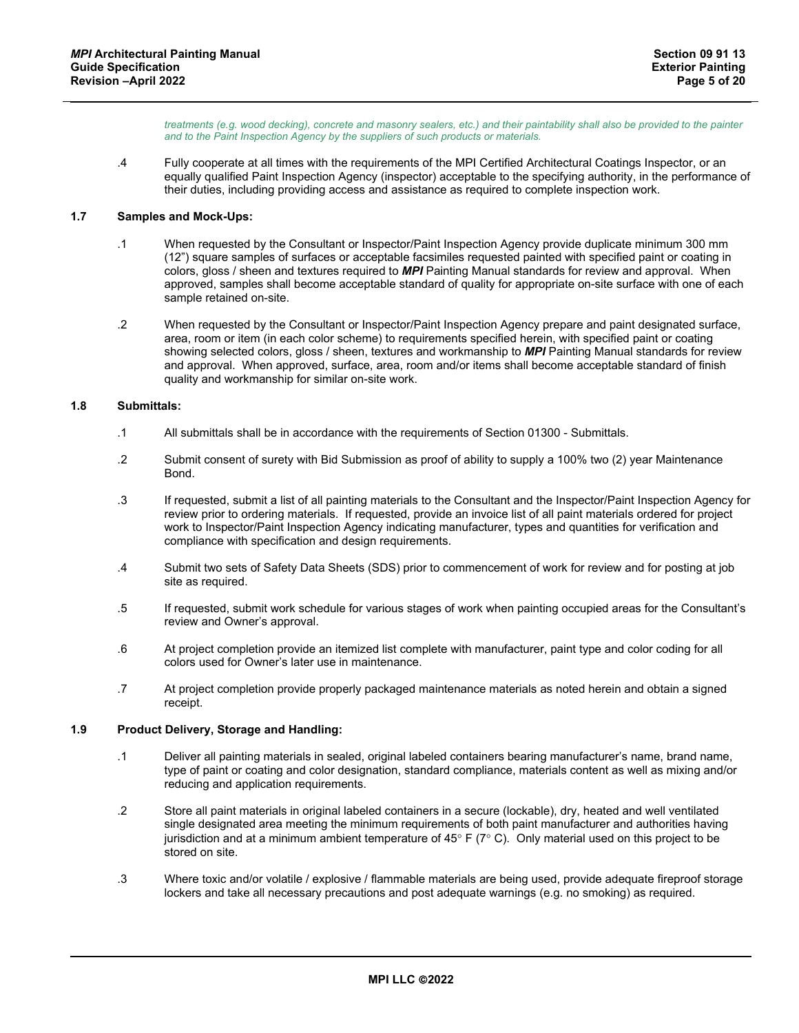*treatments (e.g. wood decking), concrete and masonry sealers, etc.) and their paintability shall also be provided to the painter and to the Paint Inspection Agency by the suppliers of such products or materials.*

.4 Fully cooperate at all times with the requirements of the MPI Certified Architectural Coatings Inspector, or an equally qualified Paint Inspection Agency (inspector) acceptable to the specifying authority, in the performance of their duties, including providing access and assistance as required to complete inspection work.

## **1.7 Samples and Mock-Ups:**

- .1 When requested by the Consultant or Inspector/Paint Inspection Agency provide duplicate minimum 300 mm (12") square samples of surfaces or acceptable facsimiles requested painted with specified paint or coating in colors, gloss / sheen and textures required to *MPI* Painting Manual standards for review and approval. When approved, samples shall become acceptable standard of quality for appropriate on-site surface with one of each sample retained on-site.
- .2 When requested by the Consultant or Inspector/Paint Inspection Agency prepare and paint designated surface, area, room or item (in each color scheme) to requirements specified herein, with specified paint or coating showing selected colors, gloss / sheen, textures and workmanship to *MPI* Painting Manual standards for review and approval. When approved, surface, area, room and/or items shall become acceptable standard of finish quality and workmanship for similar on-site work.

#### **1.8 Submittals:**

- .1 All submittals shall be in accordance with the requirements of Section 01300 Submittals.
- .2 Submit consent of surety with Bid Submission as proof of ability to supply a 100% two (2) year Maintenance Bond.
- .3 If requested, submit a list of all painting materials to the Consultant and the Inspector/Paint Inspection Agency for review prior to ordering materials. If requested, provide an invoice list of all paint materials ordered for project work to Inspector/Paint Inspection Agency indicating manufacturer, types and quantities for verification and compliance with specification and design requirements.
- .4 Submit two sets of Safety Data Sheets (SDS) prior to commencement of work for review and for posting at job site as required.
- .5 If requested, submit work schedule for various stages of work when painting occupied areas for the Consultant's review and Owner's approval.
- .6 At project completion provide an itemized list complete with manufacturer, paint type and color coding for all colors used for Owner's later use in maintenance.
- .7 At project completion provide properly packaged maintenance materials as noted herein and obtain a signed receipt.

## **1.9 Product Delivery, Storage and Handling:**

- .1 Deliver all painting materials in sealed, original labeled containers bearing manufacturer's name, brand name, type of paint or coating and color designation, standard compliance, materials content as well as mixing and/or reducing and application requirements.
- .2 Store all paint materials in original labeled containers in a secure (lockable), dry, heated and well ventilated single designated area meeting the minimum requirements of both paint manufacturer and authorities having jurisdiction and at a minimum ambient temperature of  $45^{\circ}$  F ( $7^{\circ}$  C). Only material used on this project to be stored on site.
- .3 Where toxic and/or volatile / explosive / flammable materials are being used, provide adequate fireproof storage lockers and take all necessary precautions and post adequate warnings (e.g. no smoking) as required.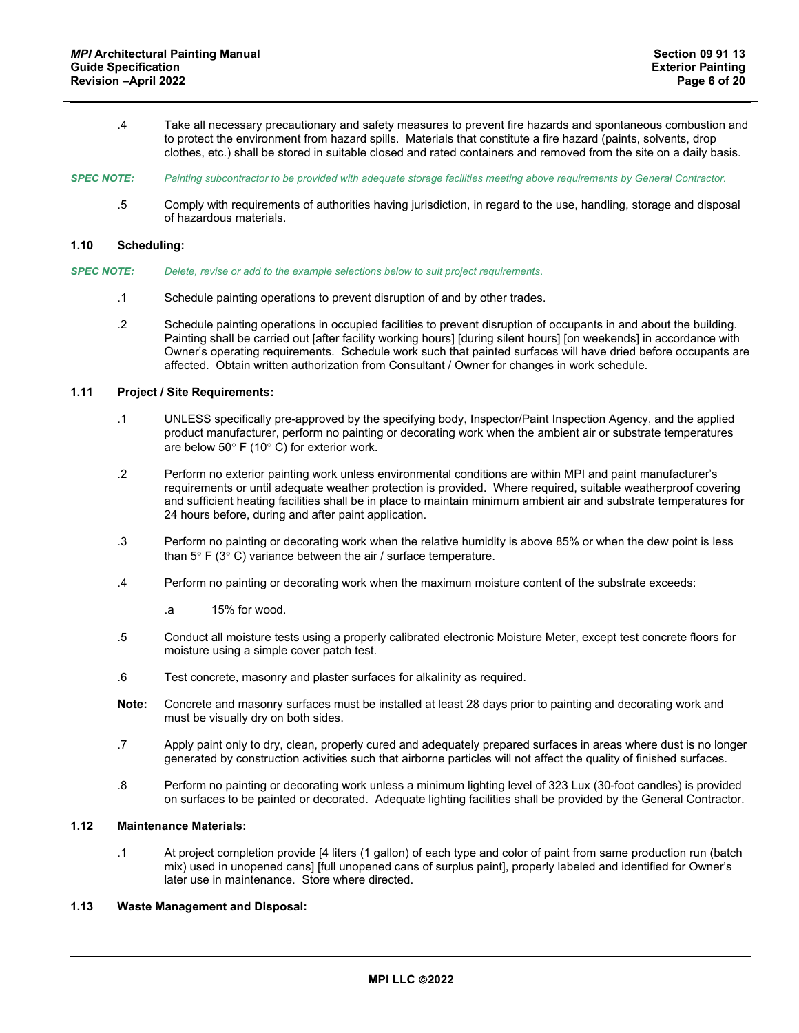- .4 Take all necessary precautionary and safety measures to prevent fire hazards and spontaneous combustion and to protect the environment from hazard spills. Materials that constitute a fire hazard (paints, solvents, drop clothes, etc.) shall be stored in suitable closed and rated containers and removed from the site on a daily basis.
- *SPEC NOTE: Painting subcontractor to be provided with adequate storage facilities meeting above requirements by General Contractor.*
	- .5 Comply with requirements of authorities having jurisdiction, in regard to the use, handling, storage and disposal of hazardous materials.

## **1.10 Scheduling:**

- *SPEC NOTE: Delete, revise or add to the example selections below to suit project requirements*.
	- .1 Schedule painting operations to prevent disruption of and by other trades.
	- .2 Schedule painting operations in occupied facilities to prevent disruption of occupants in and about the building. Painting shall be carried out [after facility working hours] [during silent hours] [on weekends] in accordance with Owner's operating requirements. Schedule work such that painted surfaces will have dried before occupants are affected. Obtain written authorization from Consultant / Owner for changes in work schedule.

## **1.11 Project / Site Requirements:**

- .1 UNLESS specifically pre-approved by the specifying body, Inspector/Paint Inspection Agency, and the applied product manufacturer, perform no painting or decorating work when the ambient air or substrate temperatures are below 50° F (10° C) for exterior work.
- .2 Perform no exterior painting work unless environmental conditions are within MPI and paint manufacturer's requirements or until adequate weather protection is provided. Where required, suitable weatherproof covering and sufficient heating facilities shall be in place to maintain minimum ambient air and substrate temperatures for 24 hours before, during and after paint application.
- .3 Perform no painting or decorating work when the relative humidity is above 85% or when the dew point is less than  $5^{\circ}$  F (3 $^{\circ}$  C) variance between the air / surface temperature.
- .4 Perform no painting or decorating work when the maximum moisture content of the substrate exceeds:
	- .a 15% for wood.
- .5 Conduct all moisture tests using a properly calibrated electronic Moisture Meter, except test concrete floors for moisture using a simple cover patch test.
- .6 Test concrete, masonry and plaster surfaces for alkalinity as required.
- **Note:** Concrete and masonry surfaces must be installed at least 28 days prior to painting and decorating work and must be visually dry on both sides.
- .7 Apply paint only to dry, clean, properly cured and adequately prepared surfaces in areas where dust is no longer generated by construction activities such that airborne particles will not affect the quality of finished surfaces.
- .8 Perform no painting or decorating work unless a minimum lighting level of 323 Lux (30-foot candles) is provided on surfaces to be painted or decorated. Adequate lighting facilities shall be provided by the General Contractor.

## **1.12 Maintenance Materials:**

.1 At project completion provide [4 liters (1 gallon) of each type and color of paint from same production run (batch mix) used in unopened cans] [full unopened cans of surplus paint], properly labeled and identified for Owner's later use in maintenance. Store where directed.

## **1.13 Waste Management and Disposal:**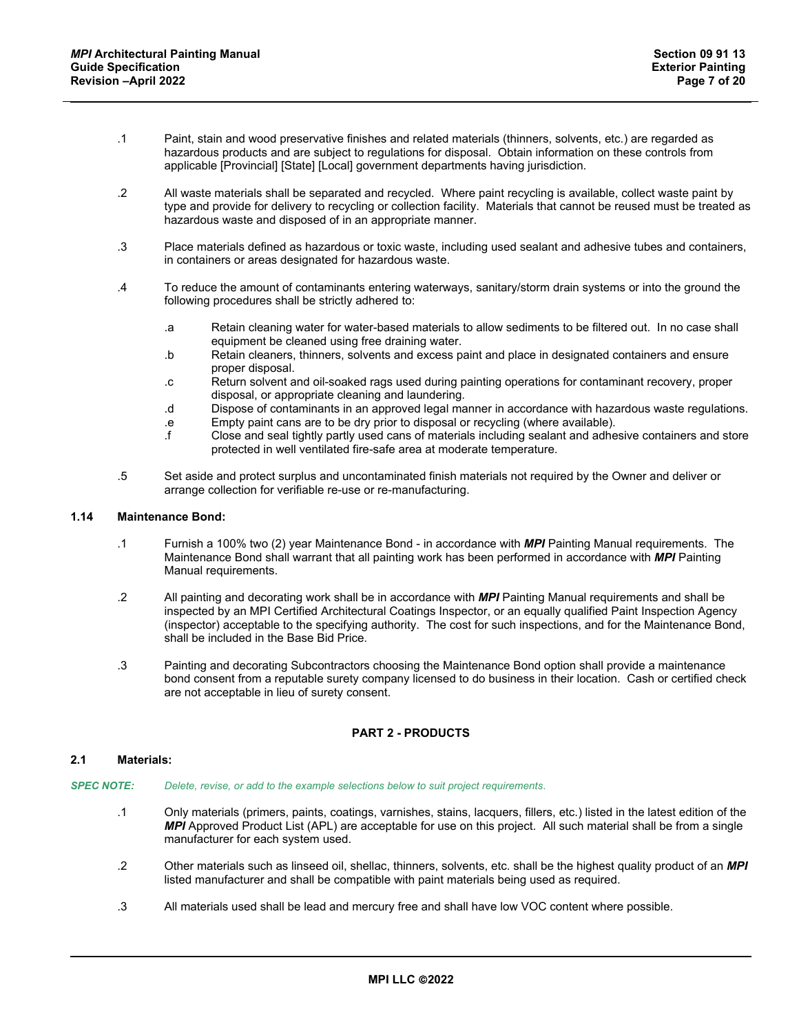- .1 Paint, stain and wood preservative finishes and related materials (thinners, solvents, etc.) are regarded as hazardous products and are subject to regulations for disposal. Obtain information on these controls from applicable [Provincial] [State] [Local] government departments having jurisdiction.
- .2 All waste materials shall be separated and recycled. Where paint recycling is available, collect waste paint by type and provide for delivery to recycling or collection facility. Materials that cannot be reused must be treated as hazardous waste and disposed of in an appropriate manner.
- .3 Place materials defined as hazardous or toxic waste, including used sealant and adhesive tubes and containers, in containers or areas designated for hazardous waste.
- .4 To reduce the amount of contaminants entering waterways, sanitary/storm drain systems or into the ground the following procedures shall be strictly adhered to:
	- .a Retain cleaning water for water-based materials to allow sediments to be filtered out. In no case shall equipment be cleaned using free draining water.
	- .b Retain cleaners, thinners, solvents and excess paint and place in designated containers and ensure proper disposal.
	- .c Return solvent and oil-soaked rags used during painting operations for contaminant recovery, proper disposal, or appropriate cleaning and laundering.
	- .d Dispose of contaminants in an approved legal manner in accordance with hazardous waste regulations.
	- .e Empty paint cans are to be dry prior to disposal or recycling (where available).
	- .f Close and seal tightly partly used cans of materials including sealant and adhesive containers and store protected in well ventilated fire-safe area at moderate temperature.
- .5 Set aside and protect surplus and uncontaminated finish materials not required by the Owner and deliver or arrange collection for verifiable re-use or re-manufacturing.

### **1.14 Maintenance Bond:**

- .1 Furnish a 100% two (2) year Maintenance Bond in accordance with *MPI* Painting Manual requirements. The Maintenance Bond shall warrant that all painting work has been performed in accordance with *MPI* Painting Manual requirements.
- .2 All painting and decorating work shall be in accordance with *MPI* Painting Manual requirements and shall be inspected by an MPI Certified Architectural Coatings Inspector, or an equally qualified Paint Inspection Agency (inspector) acceptable to the specifying authority. The cost for such inspections, and for the Maintenance Bond, shall be included in the Base Bid Price.
- .3 Painting and decorating Subcontractors choosing the Maintenance Bond option shall provide a maintenance bond consent from a reputable surety company licensed to do business in their location. Cash or certified check are not acceptable in lieu of surety consent.

# **PART 2 - PRODUCTS**

## **2.1 Materials:**

- *SPEC NOTE: Delete, revise, or add to the example selections below to suit project requirements*.
	- .1 Only materials (primers, paints, coatings, varnishes, stains, lacquers, fillers, etc.) listed in the latest edition of the *MPI* Approved Product List (APL) are acceptable for use on this project. All such material shall be from a single manufacturer for each system used.
	- .2 Other materials such as linseed oil, shellac, thinners, solvents, etc. shall be the highest quality product of an *MPI* listed manufacturer and shall be compatible with paint materials being used as required.
	- .3 All materials used shall be lead and mercury free and shall have low VOC content where possible.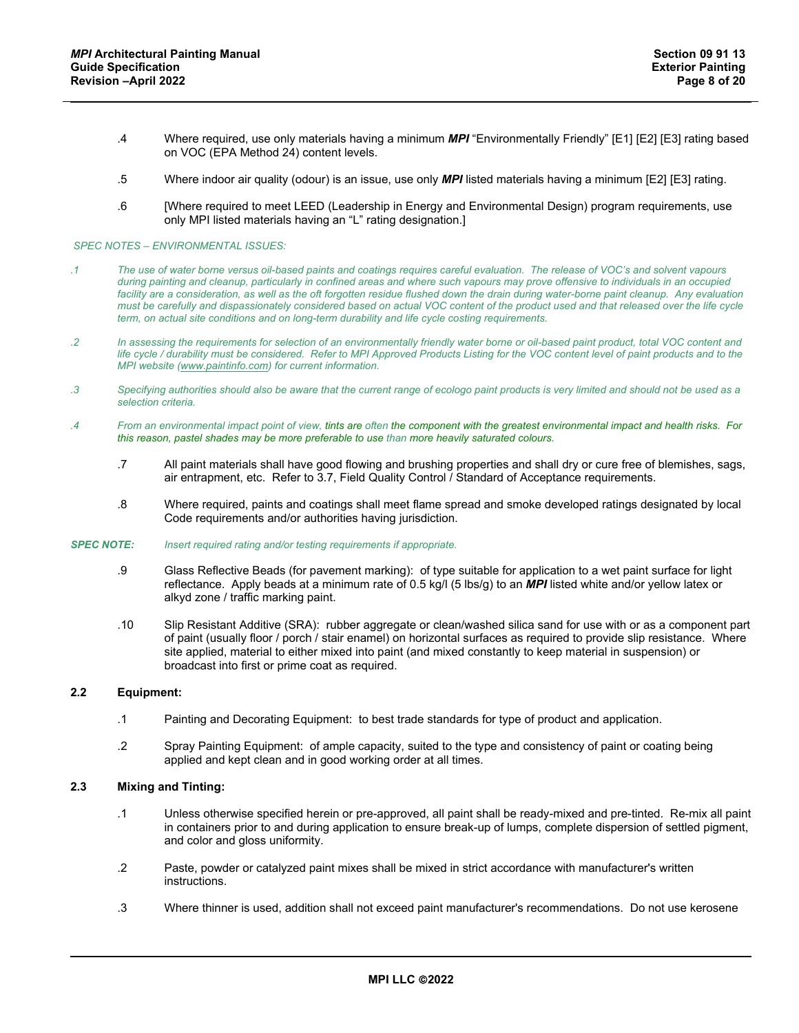- .4 Where required, use only materials having a minimum *MPI* "Environmentally Friendly" [E1] [E2] [E3] rating based on VOC (EPA Method 24) content levels.
- .5 Where indoor air quality (odour) is an issue, use only *MPI* listed materials having a minimum [E2] [E3] rating.
- .6 [Where required to meet LEED (Leadership in Energy and Environmental Design) program requirements, use only MPI listed materials having an "L" rating designation.]

#### *SPEC NOTES – ENVIRONMENTAL ISSUES:*

- *.1 The use of water borne versus oil-based paints and coatings requires careful evaluation. The release of VOC's and solvent vapours during painting and cleanup, particularly in confined areas and where such vapours may prove offensive to individuals in an occupied*  facility are a consideration, as well as the oft forgotten residue flushed down the drain during water-borne paint cleanup. Any evaluation *must be carefully and dispassionately considered based on actual VOC content of the product used and that released over the life cycle term, on actual site conditions and on long-term durability and life cycle costing requirements.*
- *.2 In assessing the requirements for selection of an environmentally friendly water borne or oil-based paint product, total VOC content and life cycle / durability must be considered. Refer to MPI Approved Products Listing for the VOC content level of paint products and to the MPI website [\(www.paintinfo.com\)](http://www.paintinfo.com/) for current information.*
- *.3 Specifying authorities should also be aware that the current range of ecologo paint products is very limited and should not be used as a selection criteria.*
- *.4 From an environmental impact point of view, tints are often the component with the greatest environmental impact and health risks. For this reason, pastel shades may be more preferable to use than more heavily saturated colours.*
	- .7 All paint materials shall have good flowing and brushing properties and shall dry or cure free of blemishes, sags, air entrapment, etc. Refer to 3.7, Field Quality Control / Standard of Acceptance requirements.
	- .8 Where required, paints and coatings shall meet flame spread and smoke developed ratings designated by local Code requirements and/or authorities having jurisdiction.

#### *SPEC NOTE: Insert required rating and/or testing requirements if appropriate.*

- .9 Glass Reflective Beads (for pavement marking): of type suitable for application to a wet paint surface for light reflectance. Apply beads at a minimum rate of 0.5 kg/l (5 lbs/g) to an *MPI* listed white and/or yellow latex or alkyd zone / traffic marking paint.
- .10 Slip Resistant Additive (SRA): rubber aggregate or clean/washed silica sand for use with or as a component part of paint (usually floor / porch / stair enamel) on horizontal surfaces as required to provide slip resistance. Where site applied, material to either mixed into paint (and mixed constantly to keep material in suspension) or broadcast into first or prime coat as required.

#### **2.2 Equipment:**

- .1 Painting and Decorating Equipment: to best trade standards for type of product and application.
- .2 Spray Painting Equipment: of ample capacity, suited to the type and consistency of paint or coating being applied and kept clean and in good working order at all times.

#### **2.3 Mixing and Tinting:**

- .1 Unless otherwise specified herein or pre-approved, all paint shall be ready-mixed and pre-tinted. Re-mix all paint in containers prior to and during application to ensure break-up of lumps, complete dispersion of settled pigment, and color and gloss uniformity.
- .2 Paste, powder or catalyzed paint mixes shall be mixed in strict accordance with manufacturer's written instructions.
- .3 Where thinner is used, addition shall not exceed paint manufacturer's recommendations. Do not use kerosene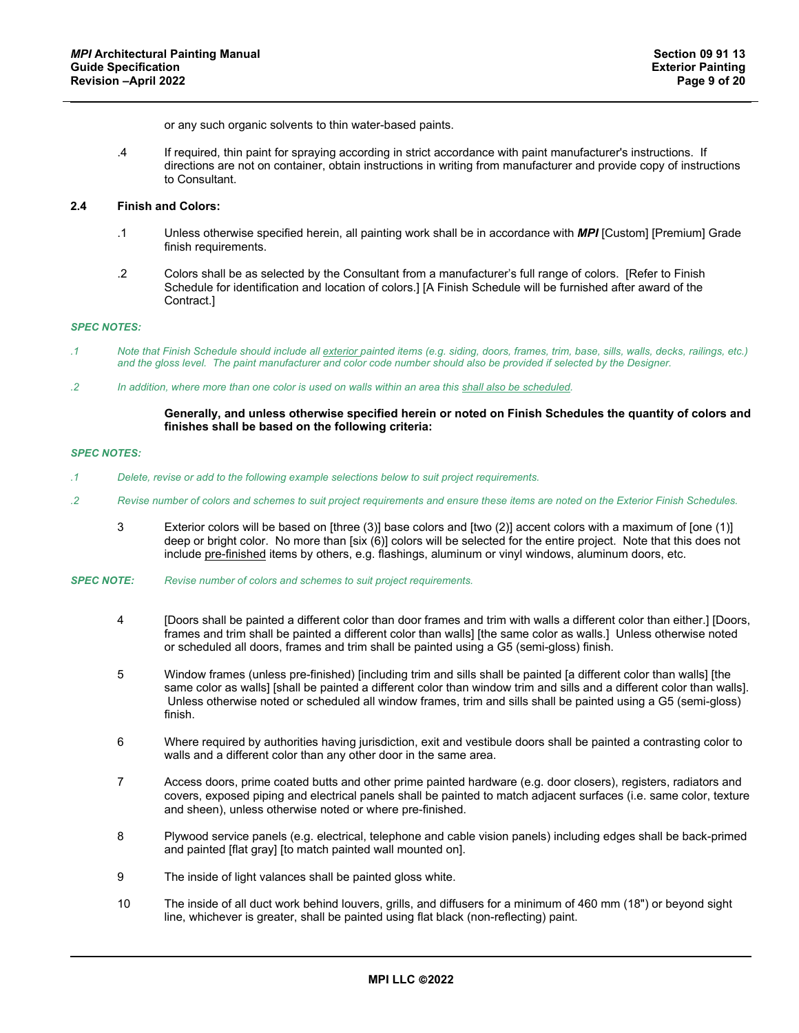or any such organic solvents to thin water-based paints.

.4 If required, thin paint for spraying according in strict accordance with paint manufacturer's instructions. If directions are not on container, obtain instructions in writing from manufacturer and provide copy of instructions to Consultant.

### **2.4 Finish and Colors:**

- .1 Unless otherwise specified herein, all painting work shall be in accordance with *MPI* [Custom] [Premium] Grade finish requirements.
- .2 Colors shall be as selected by the Consultant from a manufacturer's full range of colors. [Refer to Finish Schedule for identification and location of colors.] [A Finish Schedule will be furnished after award of the Contract.]

#### *SPEC NOTES:*

- *.1 Note that Finish Schedule should include all exterior painted items (e.g. siding, doors, frames, trim, base, sills, walls, decks, railings, etc.) and the gloss level. The paint manufacturer and color code number should also be provided if selected by the Designer.*
- *.2 In addition, where more than one color is used on walls within an area this shall also be scheduled.*

#### **Generally, and unless otherwise specified herein or noted on Finish Schedules the quantity of colors and finishes shall be based on the following criteria:**

- *.1 Delete, revise or add to the following example selections below to suit project requirements.*
- *.2 Revise number of colors and schemes to suit project requirements and ensure these items are noted on the Exterior Finish Schedules.*
	- 3 Exterior colors will be based on [three (3)] base colors and [two (2)] accent colors with a maximum of [one (1)] deep or bright color. No more than [six (6)] colors will be selected for the entire project. Note that this does not include pre-finished items by others, e.g. flashings, aluminum or vinyl windows, aluminum doors, etc.
- *SPEC NOTE: Revise number of colors and schemes to suit project requirements.*
	- 4 [Doors shall be painted a different color than door frames and trim with walls a different color than either.] [Doors, frames and trim shall be painted a different color than walls] [the same color as walls.] Unless otherwise noted or scheduled all doors, frames and trim shall be painted using a G5 (semi-gloss) finish.
	- 5 Window frames (unless pre-finished) [including trim and sills shall be painted [a different color than walls] [the same color as walls] [shall be painted a different color than window trim and sills and a different color than walls]. Unless otherwise noted or scheduled all window frames, trim and sills shall be painted using a G5 (semi-gloss) finish.
	- 6 Where required by authorities having jurisdiction, exit and vestibule doors shall be painted a contrasting color to walls and a different color than any other door in the same area.
	- 7 Access doors, prime coated butts and other prime painted hardware (e.g. door closers), registers, radiators and covers, exposed piping and electrical panels shall be painted to match adjacent surfaces (i.e. same color, texture and sheen), unless otherwise noted or where pre-finished.
	- 8 Plywood service panels (e.g. electrical, telephone and cable vision panels) including edges shall be back-primed and painted [flat gray] [to match painted wall mounted on].
	- 9 The inside of light valances shall be painted gloss white.
	- 10 The inside of all duct work behind louvers, grills, and diffusers for a minimum of 460 mm (18") or beyond sight line, whichever is greater, shall be painted using flat black (non-reflecting) paint.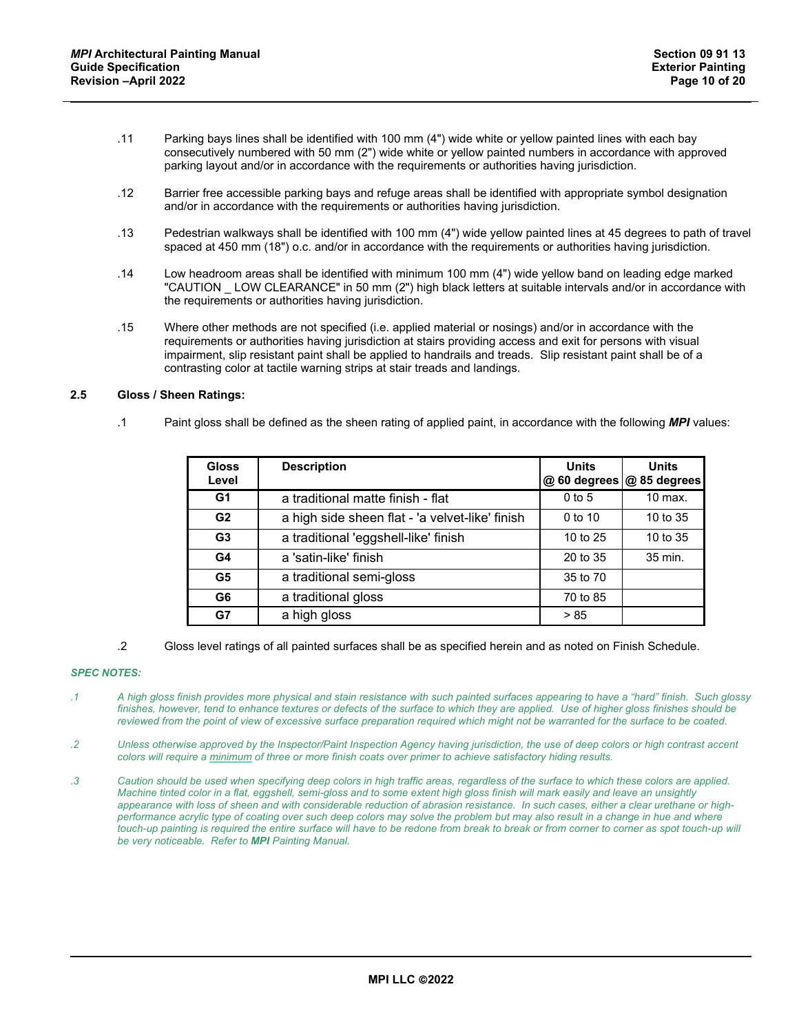- .11 Parking bays lines shall be identified with 100 mm (4") wide white or yellow painted lines with each bay consecutively numbered with 50 mm (2") wide white or yellow painted numbers in accordance with approved parking layout and/or in accordance with the requirements or authorities having jurisdiction.
- .12 Barrier free accessible parking bays and refuge areas shall be identified with appropriate symbol designation and/or in accordance with the requirements or authorities having jurisdiction.
- .13 Pedestrian walkways shall be identified with 100 mm (4") wide yellow painted lines at 45 degrees to path of travel spaced at 450 mm (18") o.c. and/or in accordance with the requirements or authorities having jurisdiction.
- .14 Low headroom areas shall be identified with minimum 100 mm (4") wide yellow band on leading edge marked "CAUTION \_ LOW CLEARANCE" in 50 mm (2") high black letters at suitable intervals and/or in accordance with the requirements or authorities having jurisdiction.
- .15 Where other methods are not specified (i.e. applied material or nosings) and/or in accordance with the requirements or authorities having jurisdiction at stairs providing access and exit for persons with visual impairment, slip resistant paint shall be applied to handrails and treads. Slip resistant paint shall be of a contrasting color at tactile warning strips at stair treads and landings.

# **2.5 Gloss / Sheen Ratings:**

.1 Paint gloss shall be defined as the sheen rating of applied paint, in accordance with the following *MPI* values:

| <b>Gloss</b><br>Level | <b>Description</b>                              | <b>Units</b><br>@ 60 degrees @ 85 degrees | <b>Units</b> |
|-----------------------|-------------------------------------------------|-------------------------------------------|--------------|
| G1                    | a traditional matte finish - flat               | $0$ to 5                                  | $10$ max.    |
| G <sub>2</sub>        | a high side sheen flat - 'a velvet-like' finish | $0$ to 10                                 | 10 to 35     |
| G <sub>3</sub>        | a traditional 'eggshell-like' finish            | 10 to 25                                  | 10 to 35     |
| G4                    | a 'satin-like' finish                           | 20 to 35                                  | 35 min.      |
| G5                    | a traditional semi-gloss                        | 35 to 70                                  |              |
| G <sub>6</sub>        | a traditional gloss                             | 70 to 85                                  |              |
| G7                    | a high gloss                                    | > 85                                      |              |

.2 Gloss level ratings of all painted surfaces shall be as specified herein and as noted on Finish Schedule.

- *.1 A high gloss finish provides more physical and stain resistance with such painted surfaces appearing to have a "hard" finish. Such glossy finishes, however, tend to enhance textures or defects of the surface to which they are applied. Use of higher gloss finishes should be reviewed from the point of view of excessive surface preparation required which might not be warranted for the surface to be coated.*
- *.2 Unless otherwise approved by the Inspector/Paint Inspection Agency having jurisdiction, the use of deep colors or high contrast accent colors will require a minimum of three or more finish coats over primer to achieve satisfactory hiding results.*
- *.3 Caution should be used when specifying deep colors in high traffic areas, regardless of the surface to which these colors are applied. Machine tinted color in a flat, eggshell, semi-gloss and to some extent high gloss finish will mark easily and leave an unsightly appearance with loss of sheen and with considerable reduction of abrasion resistance. In such cases, either a clear urethane or highperformance acrylic type of coating over such deep colors may solve the problem but may also result in a change in hue and where touch-up painting is required the entire surface will have to be redone from break to break or from corner to corner as spot touch-up will be very noticeable. Refer to MPI Painting Manual.*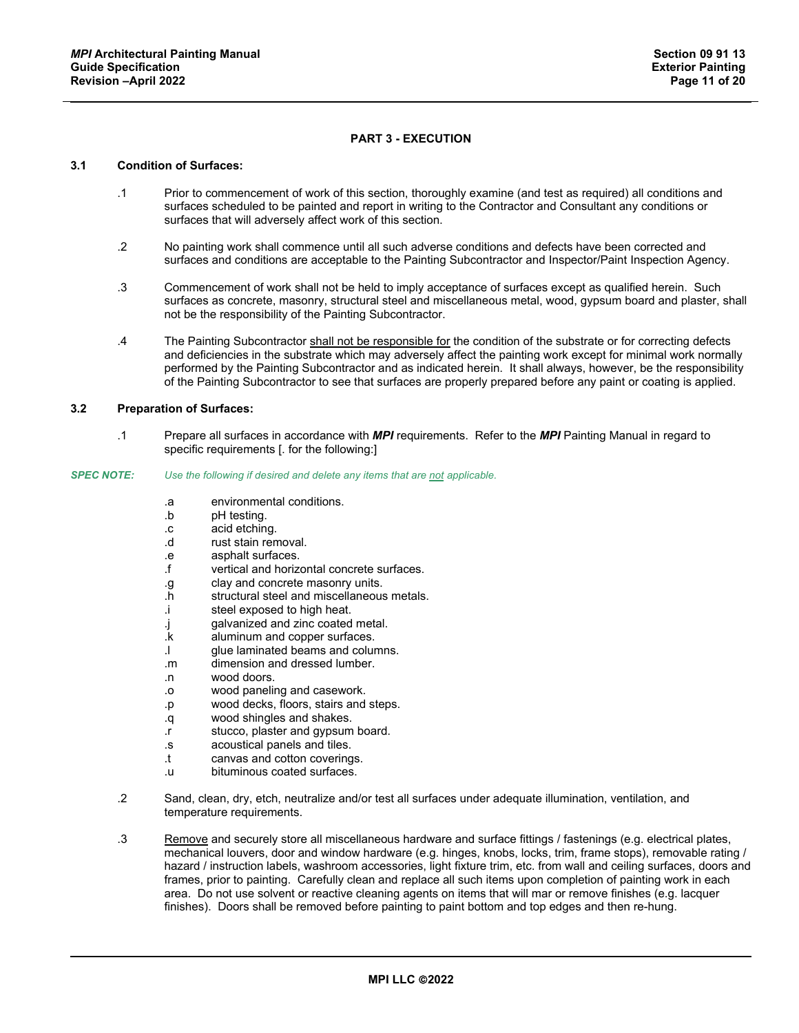# **PART 3 - EXECUTION**

## **3.1 Condition of Surfaces:**

- .1 Prior to commencement of work of this section, thoroughly examine (and test as required) all conditions and surfaces scheduled to be painted and report in writing to the Contractor and Consultant any conditions or surfaces that will adversely affect work of this section.
- .2 No painting work shall commence until all such adverse conditions and defects have been corrected and surfaces and conditions are acceptable to the Painting Subcontractor and Inspector/Paint Inspection Agency.
- .3 Commencement of work shall not be held to imply acceptance of surfaces except as qualified herein. Such surfaces as concrete, masonry, structural steel and miscellaneous metal, wood, gypsum board and plaster, shall not be the responsibility of the Painting Subcontractor.
- .4 The Painting Subcontractor shall not be responsible for the condition of the substrate or for correcting defects and deficiencies in the substrate which may adversely affect the painting work except for minimal work normally performed by the Painting Subcontractor and as indicated herein. It shall always, however, be the responsibility of the Painting Subcontractor to see that surfaces are properly prepared before any paint or coating is applied.

# **3.2 Preparation of Surfaces:**

.1 Prepare all surfaces in accordance with *MPI* requirements. Refer to the *MPI* Painting Manual in regard to specific requirements [. for the following:]

#### *SPEC NOTE: Use the following if desired and delete any items that are not applicable.*

- .a environmental conditions.<br>b pH testing.
- pH testing.
- .c acid etching.
- .d rust stain removal.
- .e asphalt surfaces.
- vertical and horizontal concrete surfaces.
- .g clay and concrete masonry units.
- .h structural steel and miscellaneous metals.
- .i steel exposed to high heat.
- .j galvanized and zinc coated metal.<br>k aluminum and copper surfaces.
- aluminum and copper surfaces.
- .l glue laminated beams and columns.
- .m dimension and dressed lumber.
- .n wood doors.
- .o wood paneling and casework.
- .p wood decks, floors, stairs and steps.
- .q wood shingles and shakes.
- .r stucco, plaster and gypsum board.
- acoustical panels and tiles.
- .t canvas and cotton coverings.
- .u bituminous coated surfaces.
- .2 Sand, clean, dry, etch, neutralize and/or test all surfaces under adequate illumination, ventilation, and temperature requirements.
- .3 Remove and securely store all miscellaneous hardware and surface fittings / fastenings (e.g. electrical plates, mechanical louvers, door and window hardware (e.g. hinges, knobs, locks, trim, frame stops), removable rating / hazard / instruction labels, washroom accessories, light fixture trim, etc. from wall and ceiling surfaces, doors and frames, prior to painting. Carefully clean and replace all such items upon completion of painting work in each area. Do not use solvent or reactive cleaning agents on items that will mar or remove finishes (e.g. lacquer finishes). Doors shall be removed before painting to paint bottom and top edges and then re-hung.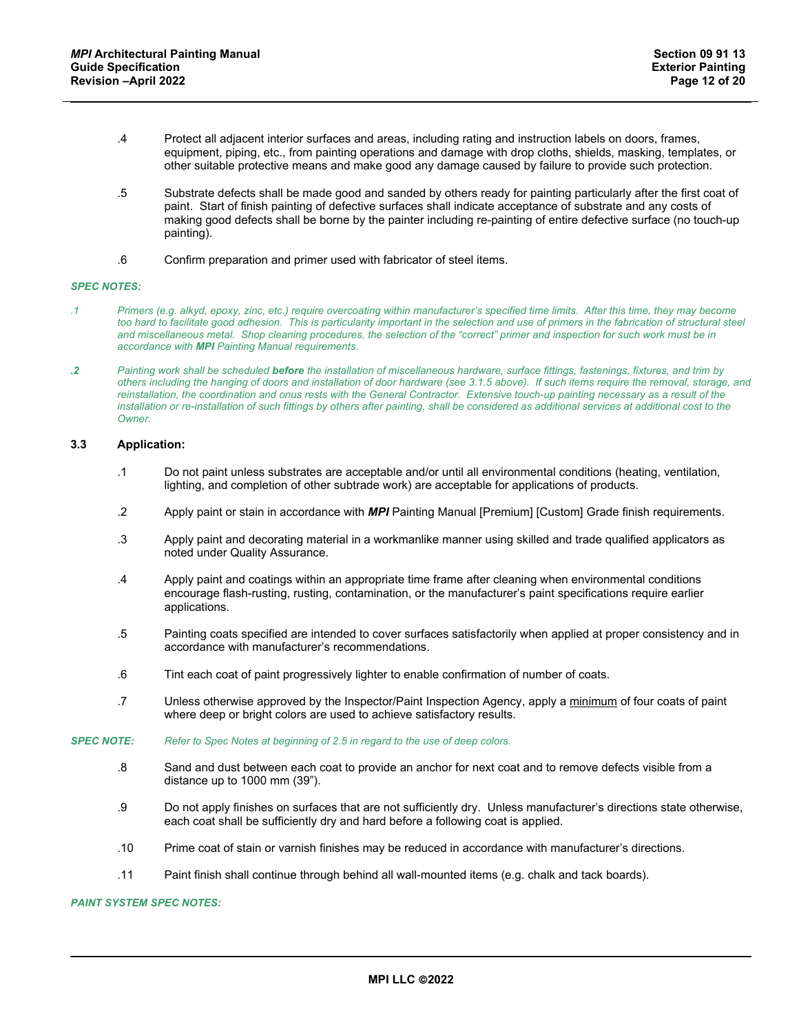- .4 Protect all adjacent interior surfaces and areas, including rating and instruction labels on doors, frames, equipment, piping, etc., from painting operations and damage with drop cloths, shields, masking, templates, or other suitable protective means and make good any damage caused by failure to provide such protection.
- .5 Substrate defects shall be made good and sanded by others ready for painting particularly after the first coat of paint. Start of finish painting of defective surfaces shall indicate acceptance of substrate and any costs of making good defects shall be borne by the painter including re-painting of entire defective surface (no touch-up painting).
- .6 Confirm preparation and primer used with fabricator of steel items.

- *.1 Primers (e.g. alkyd, epoxy, zinc, etc.) require overcoating within manufacturer's specified time limits. After this time, they may become*  too hard to facilitate good adhesion. This is particularity important in the selection and use of primers in the fabrication of structural steel and miscellaneous metal. Shop cleaning procedures, the selection of the "correct" primer and inspection for such work must be in *accordance with MPI Painting Manual requirements.*
- *.2 Painting work shall be scheduled before the installation of miscellaneous hardware, surface fittings, fastenings, fixtures, and trim by others including the hanging of doors and installation of door hardware (see 3.1.5 above). If such items require the removal, storage, and reinstallation, the coordination and onus rests with the General Contractor. Extensive touch-up painting necessary as a result of the installation or re-installation of such fittings by others after painting, shall be considered as additional services at additional cost to the Owner.*

## **3.3 Application:**

- .1 Do not paint unless substrates are acceptable and/or until all environmental conditions (heating, ventilation, lighting, and completion of other subtrade work) are acceptable for applications of products.
- .2 Apply paint or stain in accordance with *MPI* Painting Manual [Premium] [Custom] Grade finish requirements.
- .3 Apply paint and decorating material in a workmanlike manner using skilled and trade qualified applicators as noted under Quality Assurance.
- .4 Apply paint and coatings within an appropriate time frame after cleaning when environmental conditions encourage flash-rusting, rusting, contamination, or the manufacturer's paint specifications require earlier applications.
- .5 Painting coats specified are intended to cover surfaces satisfactorily when applied at proper consistency and in accordance with manufacturer's recommendations.
- .6 Tint each coat of paint progressively lighter to enable confirmation of number of coats.
- .7 Unless otherwise approved by the Inspector/Paint Inspection Agency, apply a minimum of four coats of paint where deep or bright colors are used to achieve satisfactory results.

#### *SPEC NOTE: Refer to Spec Notes at beginning of 2.5 in regard to the use of deep colors.*

- .8 Sand and dust between each coat to provide an anchor for next coat and to remove defects visible from a distance up to 1000 mm (39").
- .9 Do not apply finishes on surfaces that are not sufficiently dry. Unless manufacturer's directions state otherwise, each coat shall be sufficiently dry and hard before a following coat is applied.
- .10 Prime coat of stain or varnish finishes may be reduced in accordance with manufacturer's directions.
- .11 Paint finish shall continue through behind all wall-mounted items (e.g. chalk and tack boards).

### *PAINT SYSTEM SPEC NOTES:*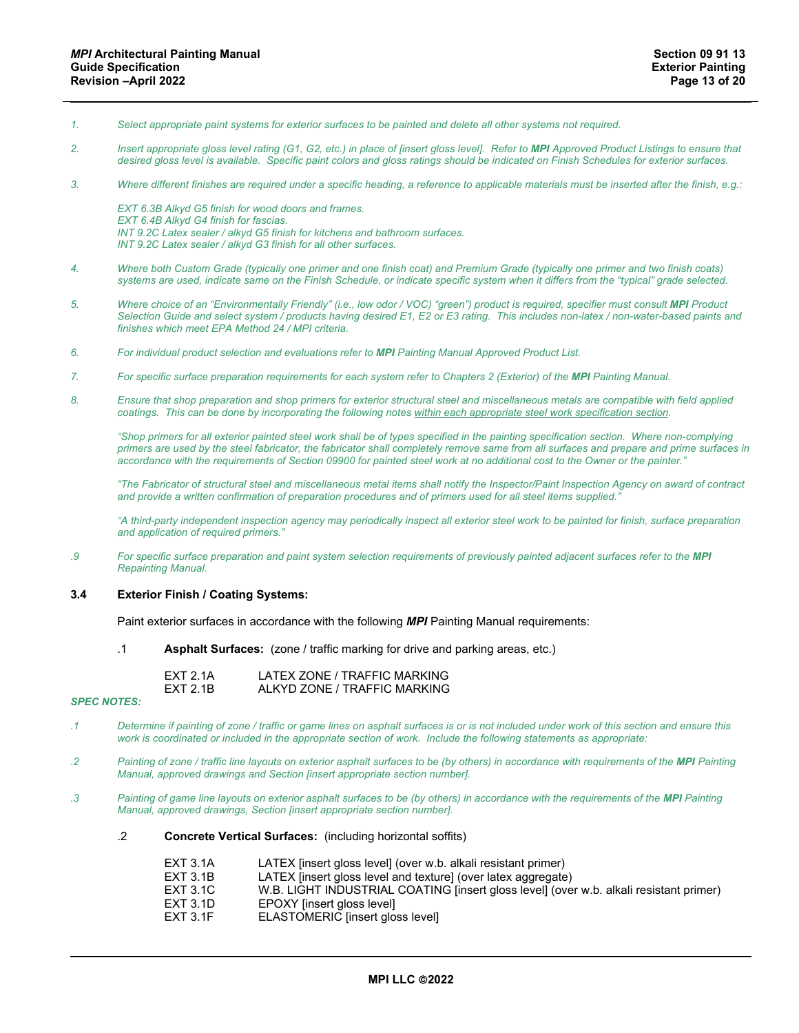- *1. Select appropriate paint systems for exterior surfaces to be painted and delete all other systems not required.*
- *2. Insert appropriate gloss level rating (G1, G2, etc.) in place of [insert gloss level]. Refer to MPI Approved Product Listings to ensure that desired gloss level is available. Specific paint colors and gloss ratings should be indicated on Finish Schedules for exterior surfaces.*
- *3. Where different finishes are required under a specific heading, a reference to applicable materials must be inserted after the finish, e.g.:*

*EXT 6.3B Alkyd G5 finish for wood doors and frames. EXT 6.4B Alkyd G4 finish for fascias. INT 9.2C Latex sealer / alkyd G5 finish for kitchens and bathroom surfaces. INT 9.2C Latex sealer / alkyd G3 finish for all other surfaces.*

- *4. Where both Custom Grade (typically one primer and one finish coat) and Premium Grade (typically one primer and two finish coats) systems are used, indicate same on the Finish Schedule, or indicate specific system when it differs from the "typical" grade selected.*
- *5. Where choice of an "Environmentally Friendly" (i.e., low odor / VOC) "green") product is required, specifier must consult MPI Product Selection Guide and select system / products having desired E1, E2 or E3 rating. This includes non-latex / non-water-based paints and finishes which meet EPA Method 24 / MPI criteria.*
- *6. For individual product selection and evaluations refer to MPI Painting Manual Approved Product List.*
- *7. For specific surface preparation requirements for each system refer to Chapters 2 (Exterior) of the MPI Painting Manual.*
- *8. Ensure that shop preparation and shop primers for exterior structural steel and miscellaneous metals are compatible with field applied coatings. This can be done by incorporating the following notes within each appropriate steel work specification section.*

*"Shop primers for all exterior painted steel work shall be of types specified in the painting specification section. Where non-complying primers are used by the steel fabricator, the fabricator shall completely remove same from all surfaces and prepare and prime surfaces in accordance with the requirements of Section 09900 for painted steel work at no additional cost to the Owner or the painter."*

*"The Fabricator of structural steel and miscellaneous metal items shall notify the Inspector/Paint Inspection Agency on award of contract and provide a written confirmation of preparation procedures and of primers used for all steel items supplied."*

*"A third-party independent inspection agency may periodically inspect all exterior steel work to be painted for finish, surface preparation and application of required primers."*

*.9 For specific surface preparation and paint system selection requirements of previously painted adjacent surfaces refer to the MPI Repainting Manual.*

#### **3.4 Exterior Finish / Coating Systems:**

Paint exterior surfaces in accordance with the following *MPI* Painting Manual requirements:

.1 **Asphalt Surfaces:** (zone / traffic marking for drive and parking areas, etc.)

| FXT 2.1A | LATEX ZONE / TRAFFIC MARKING |
|----------|------------------------------|
| FXT 2.1B | ALKYD ZONE / TRAFFIC MARKING |

- *.1 Determine if painting of zone / traffic or game lines on asphalt surfaces is or is not included under work of this section and ensure this work is coordinated or included in the appropriate section of work. Include the following statements as appropriate:*
- *.2 Painting of zone / traffic line layouts on exterior asphalt surfaces to be (by others) in accordance with requirements of the MPI Painting Manual, approved drawings and Section [insert appropriate section number].*
- *.3 Painting of game line layouts on exterior asphalt surfaces to be (by others) in accordance with the requirements of the MPI Painting Manual, approved drawings, Section [insert appropriate section number].*
	- .2 **Concrete Vertical Surfaces:** (including horizontal soffits)
		- EXT 3.1A LATEX [insert gloss level] (over w.b. alkali resistant primer)
		- EXT 3.1B LATEX [insert gloss level and texture] (over latex aggregate)<br>EXT 3.1C W.B. LIGHT INDUSTRIAL COATING [insert gloss level] (over
		- EXT 3.1C W.B. LIGHT INDUSTRIAL COATING [insert gloss level] (over w.b. alkali resistant primer)
		- EXT 3.1D EPOXY [insert gloss level]<br>EXT 3.1F ELASTOMERIC linsert alo
		- ELASTOMERIC [insert gloss level]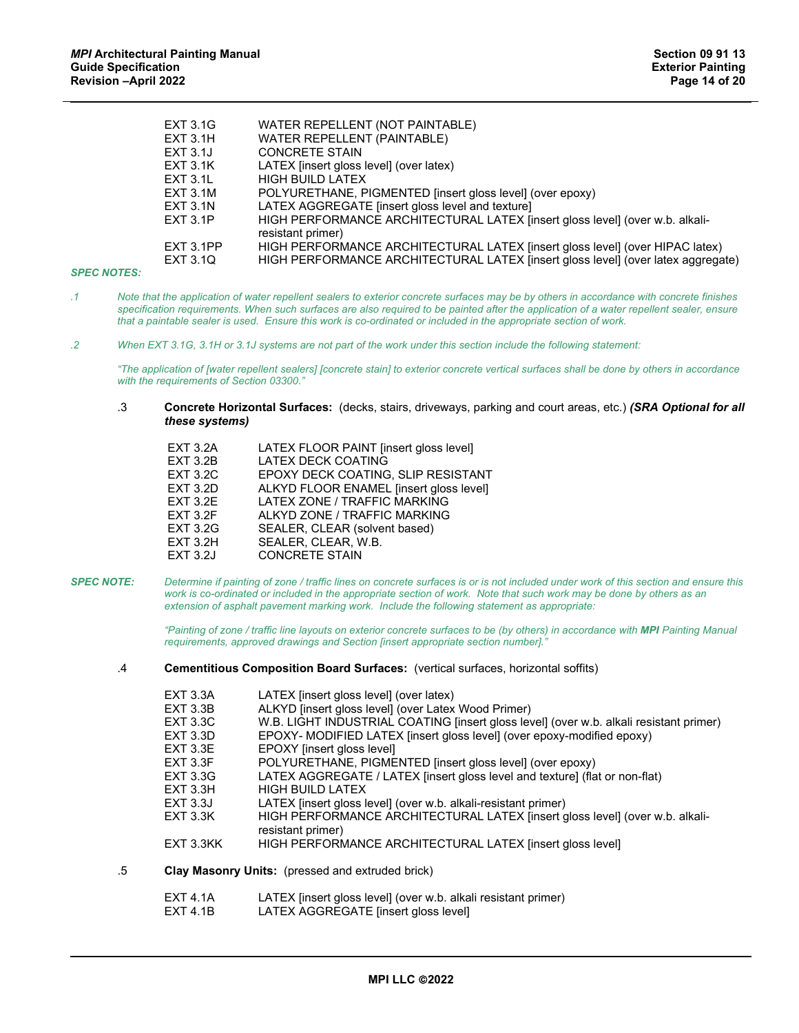| <b>EXT 3.1G</b> | WATER REPELLENT (NOT PAINTABLE)                                                                   |
|-----------------|---------------------------------------------------------------------------------------------------|
| <b>EXT 3.1H</b> | <b>WATER REPELLENT (PAINTABLE)</b>                                                                |
| EXT 3.1J        | <b>CONCRETE STAIN</b>                                                                             |
| <b>EXT 3.1K</b> | LATEX (insert gloss level) (over latex)                                                           |
| <b>EXT 3.1L</b> | <b>HIGH BUILD LATEX</b>                                                                           |
| <b>EXT 3.1M</b> | POLYURETHANE, PIGMENTED [insert gloss level] (over epoxy)                                         |
| <b>EXT 3.1N</b> | LATEX AGGREGATE [insert gloss level and texture]                                                  |
| <b>EXT 3.1P</b> | HIGH PERFORMANCE ARCHITECTURAL LATEX [insert gloss level] (over w.b. alkali-<br>resistant primer) |
| EXT 3.1PP       | HIGH PERFORMANCE ARCHITECTURAL LATEX [insert gloss level] (over HIPAC latex)                      |
| EXT 3.1Q        | HIGH PERFORMANCE ARCHITECTURAL LATEX [insert gloss level] (over latex aggregate)                  |
|                 |                                                                                                   |

- *.1 Note that the application of water repellent sealers to exterior concrete surfaces may be by others in accordance with concrete finishes specification requirements. When such surfaces are also required to be painted after the application of a water repellent sealer, ensure that a paintable sealer is used. Ensure this work is co-ordinated or included in the appropriate section of work.*
- *.2 When EXT 3.1G, 3.1H or 3.1J systems are not part of the work under this section include the following statement:*

*"The application of [water repellent sealers] [concrete stain] to exterior concrete vertical surfaces shall be done by others in accordance with the requirements of Section 03300."*

.3 **Concrete Horizontal Surfaces:** (decks, stairs, driveways, parking and court areas, etc.) *(SRA Optional for all these systems)*

| <b>EXT 3.2A</b> | LATEX FLOOR PAINT [insert gloss level]  |
|-----------------|-----------------------------------------|
| <b>EXT 3.2B</b> | <b>LATEX DECK COATING</b>               |
| <b>EXT 3.2C</b> | EPOXY DECK COATING, SLIP RESISTANT      |
| <b>EXT 3.2D</b> | ALKYD FLOOR ENAMEL [insert gloss level] |
| <b>EXT 3.2E</b> | LATEX ZONE / TRAFFIC MARKING            |
| <b>EXT 3.2F</b> | ALKYD ZONE / TRAFFIC MARKING            |
| <b>EXT 3.2G</b> | SEALER, CLEAR (solvent based)           |
| <b>EXT 3.2H</b> | SEALER, CLEAR, W.B.                     |
| <b>EXT 3.2J</b> | <b>CONCRETE STAIN</b>                   |
|                 |                                         |

*SPEC NOTE: Determine if painting of zone / traffic lines on concrete surfaces is or is not included under work of this section and ensure this*  work is co-ordinated or included in the appropriate section of work. Note that such work may be done by others as an *extension of asphalt pavement marking work. Include the following statement as appropriate:*

> *"Painting of zone / traffic line layouts on exterior concrete surfaces to be (by others) in accordance with MPI Painting Manual requirements, approved drawings and Section [insert appropriate section number]."*

.4 **Cementitious Composition Board Surfaces:** (vertical surfaces, horizontal soffits)

|    | <b>EXT 3.3A</b>   | LATEX (insert gloss level) (over latex)                                                           |
|----|-------------------|---------------------------------------------------------------------------------------------------|
|    | <b>EXT 3.3B</b>   | ALKYD [insert gloss level] (over Latex Wood Primer)                                               |
|    | <b>EXT 3.3C</b>   | W.B. LIGHT INDUSTRIAL COATING [insert gloss level] (over w.b. alkali resistant primer)            |
|    | <b>EXT 3.3D</b>   | EPOXY- MODIFIED LATEX [insert gloss level] (over epoxy-modified epoxy)                            |
|    | <b>EXT 3.3E</b>   | <b>EPOXY</b> linsert aloss levell                                                                 |
|    | <b>EXT 3.3F</b>   | POLYURETHANE, PIGMENTED [insert gloss level] (over epoxy)                                         |
|    | <b>EXT 3.3G</b>   | LATEX AGGREGATE / LATEX [insert gloss level and texture] (flat or non-flat)                       |
|    | EXT 3.3H          | <b>HIGH BUILD LATEX</b>                                                                           |
|    | <b>EXT 3.3J</b>   | LATEX linsert gloss level (over w.b. alkali-resistant primer)                                     |
|    | <b>EXT 3.3K</b>   | HIGH PERFORMANCE ARCHITECTURAL LATEX [insert gloss level] (over w.b. alkali-<br>resistant primer) |
|    | EXT 3.3KK         | HIGH PERFORMANCE ARCHITECTURAL LATEX [insert gloss level]                                         |
| .5 |                   | <b>Clay Masonry Units:</b> (pressed and extruded brick)                                           |
|    | $EVT$ $4$ $1$ $0$ | $IATEY$ lineart algee $QQQ$ $IQQQQY$ we have also intensity primar)                               |

- EXT 4.1A LATEX [insert gloss level] (over w.b. alkali resistant primer)<br>EXT 4.1B LATEX AGGREGATE [insert gloss level]
	- LATEX AGGREGATE [insert gloss level]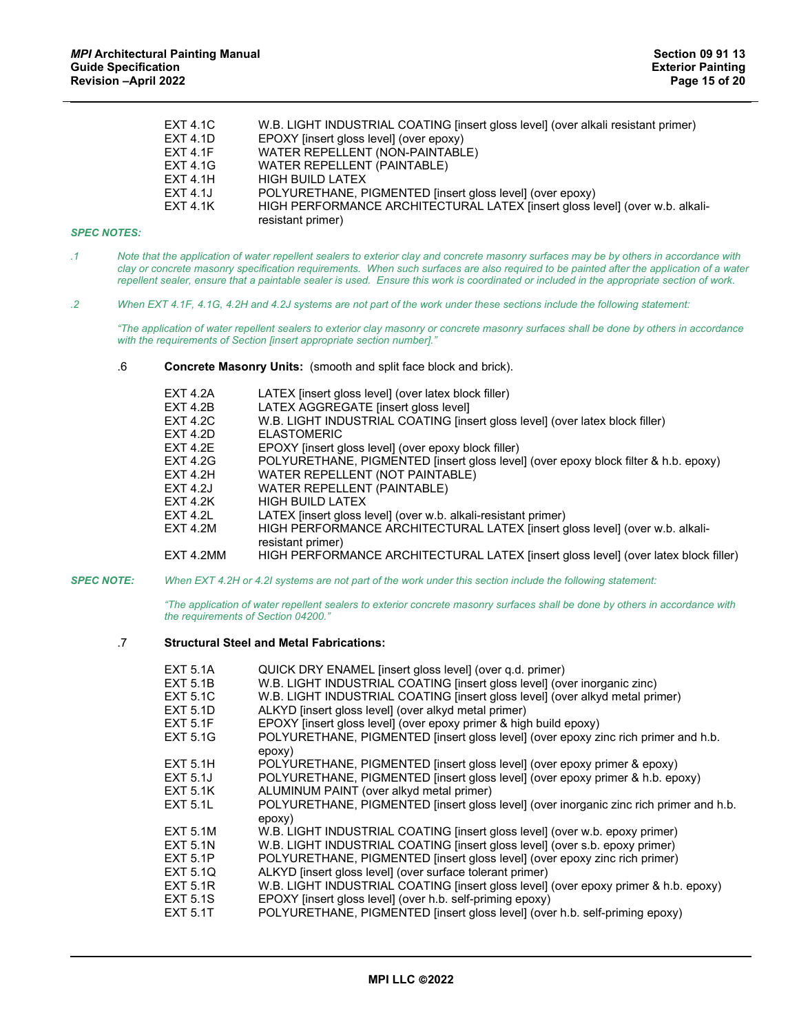| <b>EXT 4.1C</b> | W.B. LIGHT INDUSTRIAL COATING [insert gloss level] (over alkali resistant primer) |
|-----------------|-----------------------------------------------------------------------------------|
| <b>EXT 4.1D</b> | EPOXY [insert gloss level] (over epoxy)                                           |
| <b>EXT 4.1F</b> | WATER REPELLENT (NON-PAINTABLE)                                                   |
| <b>EXT 4.1G</b> | WATER REPELLENT (PAINTABLE)                                                       |
| <b>EXT 4.1H</b> | <b>HIGH BUILD LATEX</b>                                                           |
| <b>EXT 4.1J</b> | POLYURETHANE, PIGMENTED [insert gloss level] (over epoxy)                         |
| <b>EXT 4.1K</b> | HIGH PERFORMANCE ARCHITECTURAL LATEX [insert gloss level] (over w.b. alkali-      |
|                 | resistant primer)                                                                 |

| Note that the application of water repellent sealers to exterior clay and concrete masonry surfaces may be by others in accordance with   |
|-------------------------------------------------------------------------------------------------------------------------------------------|
| clay or concrete masonry specification requirements. When such surfaces are also required to be painted after the application of a water  |
| repellent sealer, ensure that a paintable sealer is used. Ensure this work is coordinated or included in the appropriate section of work. |

*.2 When EXT 4.1F, 4.1G, 4.2H and 4.2J systems are not part of the work under these sections include the following statement:*

*"The application of water repellent sealers to exterior clay masonry or concrete masonry surfaces shall be done by others in accordance with the requirements of Section [insert appropriate section number]."*

.6 **Concrete Masonry Units:** (smooth and split face block and brick).

| EXT 4.2A        | LATEX (insert gloss level) (over latex block filler)                                |
|-----------------|-------------------------------------------------------------------------------------|
| EXT 4.2B        | LATEX AGGREGATE [insert gloss level]                                                |
| <b>EXT 4.2C</b> | W.B. LIGHT INDUSTRIAL COATING [insert gloss level] (over latex block filler)        |
| <b>EXT 4.2D</b> | <b>FI ASTOMFRIC</b>                                                                 |
| EXT 4.2E        | EPOXY [insert gloss level] (over epoxy block filler)                                |
| <b>EXT 4.2G</b> | POLYURETHANE, PIGMENTED [insert gloss level] (over epoxy block filter & h.b. epoxy) |
| EXT 4.2H        | WATER REPELLENT (NOT PAINTABLE)                                                     |
| <b>EXT 4.2J</b> | <b>WATER REPELLENT (PAINTABLE)</b>                                                  |
| EXT 4.2K        | HIGH BUILD LATEX                                                                    |
| <b>EXT 4.2L</b> | LATEX [insert gloss level] (over w.b. alkali-resistant primer)                      |
| <b>EXT 4.2M</b> | HIGH PERFORMANCE ARCHITECTURAL LATEX [insert gloss level] (over w.b. alkali-        |
|                 | resistant primer)                                                                   |
| EXT 4.2MM       | HIGH PERFORMANCE ARCHITECTURAL LATEX [insert gloss level] (over latex block filler) |
|                 |                                                                                     |

*SPEC NOTE: When EXT 4.2H or 4.2I systems are not part of the work under this section include the following statement:*

*"The application of water repellent sealers to exterior concrete masonry surfaces shall be done by others in accordance with the requirements of Section 04200."*

# .7 **Structural Steel and Metal Fabrications:**

| <b>EXT 5.1A</b><br><b>EXT 5.1B</b> | QUICK DRY ENAMEL [insert gloss level] (over g.d. primer)<br>W.B. LIGHT INDUSTRIAL COATING [insert gloss level] (over inorganic zinc) |
|------------------------------------|--------------------------------------------------------------------------------------------------------------------------------------|
| <b>EXT 5.1C</b>                    | W.B. LIGHT INDUSTRIAL COATING [insert gloss level] (over alkyd metal primer)                                                         |
| <b>EXT 5.1D</b>                    | ALKYD [insert gloss level] (over alkyd metal primer)                                                                                 |
| <b>EXT 5.1F</b>                    | EPOXY [insert gloss level] (over epoxy primer & high build epoxy)                                                                    |
| <b>EXT 5.1G</b>                    | POLYURETHANE, PIGMENTED [insert gloss level] (over epoxy zinc rich primer and h.b.<br>epoxy)                                         |
| <b>EXT 5.1H</b>                    | POLYURETHANE, PIGMENTED [insert gloss level] (over epoxy primer & epoxy)                                                             |
| <b>EXT 5.1J</b>                    | POLYURETHANE, PIGMENTED [insert gloss level] (over epoxy primer & h.b. epoxy)                                                        |
| <b>EXT 5.1K</b>                    | ALUMINUM PAINT (over alkyd metal primer)                                                                                             |
| <b>EXT 5.1L</b>                    | POLYURETHANE, PIGMENTED [insert gloss level] (over inorganic zinc rich primer and h.b.<br>epoxy)                                     |
| <b>EXT 5.1M</b>                    | W.B. LIGHT INDUSTRIAL COATING [insert gloss level] (over w.b. epoxy primer)                                                          |
| <b>EXT 5.1N</b>                    | W.B. LIGHT INDUSTRIAL COATING [insert gloss level] (over s.b. epoxy primer)                                                          |
| <b>EXT 5.1P</b>                    | POLYURETHANE, PIGMENTED [insert gloss level] (over epoxy zinc rich primer)                                                           |
| EXT 5.10                           | ALKYD [insert gloss level] (over surface tolerant primer)                                                                            |
| <b>EXT 5.1R</b>                    | W.B. LIGHT INDUSTRIAL COATING [insert gloss level] (over epoxy primer & h.b. epoxy)                                                  |
| <b>EXT 5.1S</b>                    | EPOXY [insert gloss level] (over h.b. self-priming epoxy)                                                                            |
| <b>EXT 5.1T</b>                    | POLYURETHANE, PIGMENTED [insert gloss level] (over h.b. self-priming epoxy)                                                          |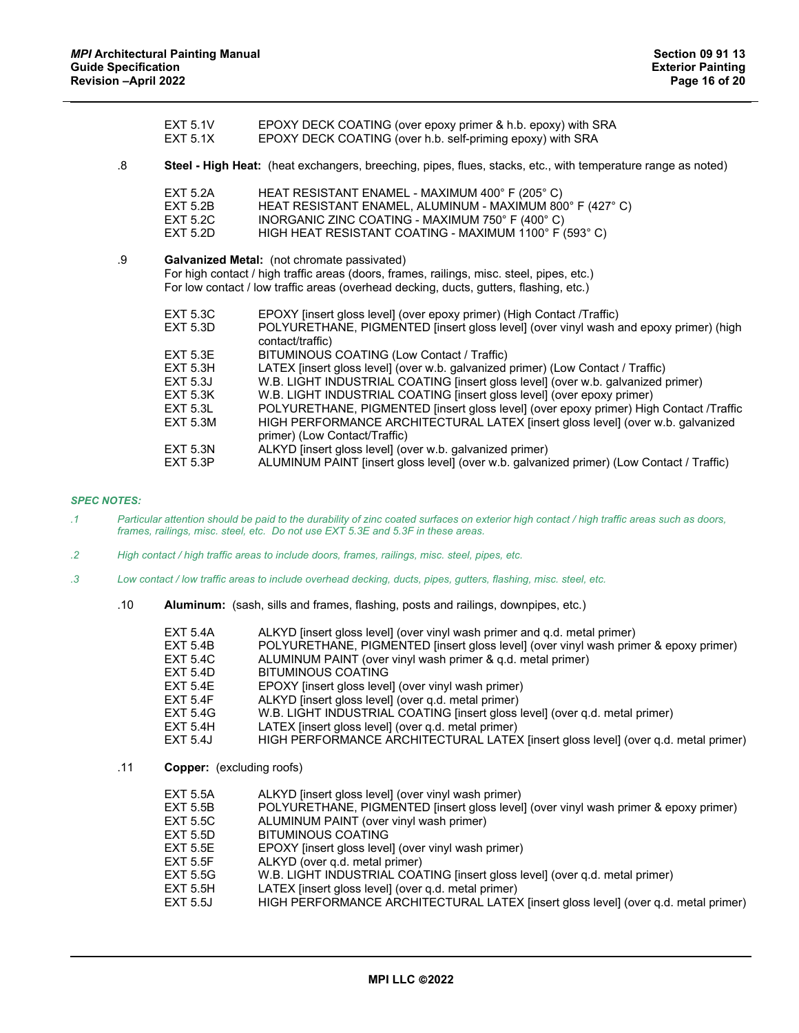|    | <b>EXT 5.1V</b><br><b>EXT 5.1X</b>                                | EPOXY DECK COATING (over epoxy primer & h.b. epoxy) with SRA<br>EPOXY DECK COATING (over h.b. self-priming epoxy) with SRA                                                                                                                                                           |
|----|-------------------------------------------------------------------|--------------------------------------------------------------------------------------------------------------------------------------------------------------------------------------------------------------------------------------------------------------------------------------|
| 8. |                                                                   | Steel - High Heat: (heat exchangers, breeching, pipes, flues, stacks, etc., with temperature range as noted)                                                                                                                                                                         |
|    | <b>EXT 5.2A</b><br><b>EXT 5.2B</b><br><b>EXT 5.2C</b><br>EXT 5.2D | HEAT RESISTANT ENAMEL - MAXIMUM 400° F (205° C)<br>HEAT RESISTANT ENAMEL, ALUMINUM - MAXIMUM 800°F (427°C)<br>INORGANIC ZINC COATING - MAXIMUM 750° F (400° C)<br>HIGH HEAT RESISTANT COATING - MAXIMUM 1100° F (593° C)                                                             |
| .9 |                                                                   | <b>Galvanized Metal:</b> (not chromate passivated)<br>For high contact / high traffic areas (doors, frames, railings, misc. steel, pipes, etc.)<br>For low contact / low traffic areas (overhead decking, ducts, gutters, flashing, etc.)                                            |
|    | <b>EXT 5.3C</b><br><b>EXT 5.3D</b>                                | EPOXY [insert gloss level] (over epoxy primer) (High Contact /Traffic)<br>POLYURETHANE, PIGMENTED [insert gloss level] (over vinyl wash and epoxy primer) (high<br>contact/traffic)                                                                                                  |
|    | <b>EXT 5.3E</b><br>EXT 5.3H<br><b>EXT 5.3J</b>                    | BITUMINOUS COATING (Low Contact / Traffic)<br>LATEX [insert gloss level] (over w.b. galvanized primer) (Low Contact / Traffic)<br>W.B. LIGHT INDUSTRIAL COATING [insert gloss level] (over w.b. galvanized primer)                                                                   |
|    | <b>EXT 5.3K</b><br><b>EXT 5.3L</b><br><b>EXT 5.3M</b>             | W.B. LIGHT INDUSTRIAL COATING [insert gloss level] (over epoxy primer)<br>POLYURETHANE, PIGMENTED [insert gloss level] (over epoxy primer) High Contact /Traffic<br>HIGH PERFORMANCE ARCHITECTURAL LATEX [insert gloss level] (over w.b. galvanized<br>primer) (Low Contact/Traffic) |
|    | <b>EXT 5.3N</b><br><b>EXT 5.3P</b>                                | ALKYD [insert gloss level] (over w.b. galvanized primer)<br>ALUMINUM PAINT [insert gloss level] (over w.b. galvanized primer) (Low Contact / Traffic)                                                                                                                                |

- *.1 Particular attention should be paid to the durability of zinc coated surfaces on exterior high contact / high traffic areas such as doors, frames, railings, misc. steel, etc. Do not use EXT 5.3E and 5.3F in these areas.*
- *.2 High contact / high traffic areas to include doors, frames, railings, misc. steel, pipes, etc.*
- *.3 Low contact / low traffic areas to include overhead decking, ducts, pipes, gutters, flashing, misc. steel, etc.*
	- .10 **Aluminum:** (sash, sills and frames, flashing, posts and railings, downpipes, etc.)

| <b>EXT 5.4A</b> | ALKYD [insert gloss level] (over vinyl wash primer and q.d. metal primer)            |
|-----------------|--------------------------------------------------------------------------------------|
| <b>EXT 5.4B</b> | POLYURETHANE, PIGMENTED [insert gloss level] (over vinyl wash primer & epoxy primer) |
| <b>EXT 5.4C</b> | ALUMINUM PAINT (over vinyl wash primer & q.d. metal primer)                          |
| <b>EXT 5.4D</b> | <b>BITUMINOUS COATING</b>                                                            |
| <b>EXT 5.4E</b> | EPOXY [insert gloss level] (over vinyl wash primer)                                  |
| <b>EXT 5.4F</b> | ALKYD [insert gloss level] (over q.d. metal primer)                                  |
| <b>EXT 5.4G</b> | W.B. LIGHT INDUSTRIAL COATING [insert gloss level] (over q.d. metal primer)          |
| <b>EXT 5.4H</b> | LATEX (insert gloss level) (over g.d. metal primer)                                  |
| <b>EXT 5.4J</b> | HIGH PERFORMANCE ARCHITECTURAL LATEX [insert gloss level] (over q.d. metal primer)   |
|                 |                                                                                      |

.11 **Copper:** (excluding roofs)

| EXT 5.5A | ALKYD [insert gloss level] (over vinyl wash primer) |
|----------|-----------------------------------------------------|
|----------|-----------------------------------------------------|

- EXT 5.5B POLYURETHANE, PIGMENTED [insert gloss level] (over vinyl wash primer & epoxy primer)
- EXT 5.5C ALUMINUM PAINT (over vinyl wash primer)
- EXT 5.5D BITUMINOUS COATING<br>EXT 5.5E EPOXY [insert gloss level
- EXT 5.5E EPOXY [insert gloss level] (over vinyl wash primer)<br>EXT 5.5F ALKYD (over q.d. metal primer)
- EXT 5.5F ALKYD (over q.d. metal primer)<br>EXT 5.5G W.B. LIGHT INDUSTRIAL COA
- EXT 5.5G W.B. LIGHT INDUSTRIAL COATING [insert gloss level] (over q.d. metal primer)
- 
- EXT 5.5H LATEX [insert gloss level] (over q.d. metal primer)<br>EXT 5.5J HIGH PERFORMANCE ARCHITECTURAL LATEX HIGH PERFORMANCE ARCHITECTURAL LATEX [insert gloss level] (over q.d. metal primer)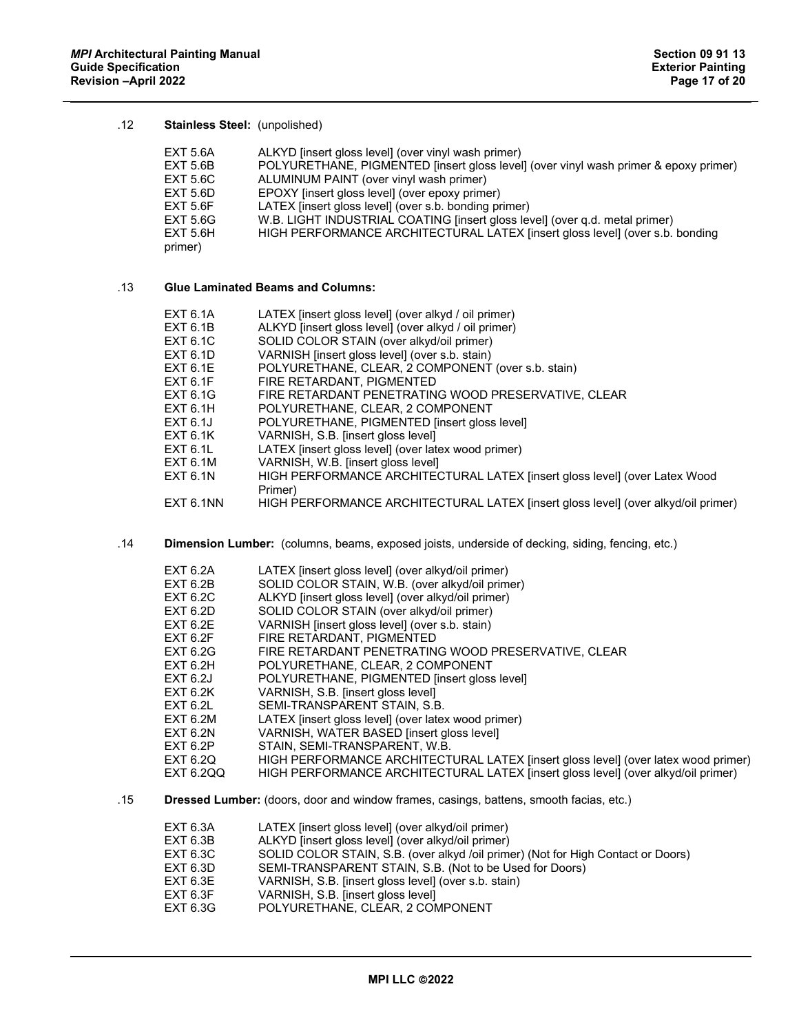# .12 **Stainless Steel:** (unpolished)

| EXT 5.6A        | ALKYD finsert gloss level (over vinyl wash primer)                                   |
|-----------------|--------------------------------------------------------------------------------------|
| EXT 5.6B        | POLYURETHANE, PIGMENTED [insert gloss level] (over vinyl wash primer & epoxy primer) |
| EXT 5.6C        | ALUMINUM PAINT (over vinyl wash primer)                                              |
| EXT 5.6D        | EPOXY [insert gloss level] (over epoxy primer)                                       |
| EXT 5.6F        | LATEX [insert gloss level] (over s.b. bonding primer)                                |
| EXT 5.6G        | W.B. LIGHT INDUSTRIAL COATING [insert gloss level] (over q.d. metal primer)          |
| <b>EXT 5.6H</b> | HIGH PERFORMANCE ARCHITECTURAL LATEX [insert gloss level] (over s.b. bonding         |
| primer)         |                                                                                      |

# .13 **Glue Laminated Beams and Columns:**

| EXT 6.1A        | LATEX [insert gloss level] (over alkyd / oil primer)                              |
|-----------------|-----------------------------------------------------------------------------------|
| EXT 6.1B        | ALKYD [insert gloss level] (over alkyd / oil primer)                              |
| EXT 6.1C        | SOLID COLOR STAIN (over alkyd/oil primer)                                         |
| EXT 6.1D        | VARNISH [insert gloss level] (over s.b. stain)                                    |
| <b>EXT 6.1E</b> | POLYURETHANE, CLEAR, 2 COMPONENT (over s.b. stain)                                |
| EXT 6.1F        | FIRE RETARDANT, PIGMENTED                                                         |
| EXT 6.1G        | FIRE RETARDANT PENETRATING WOOD PRESERVATIVE, CLEAR                               |
| EXT 6.1H        | POLYURETHANE, CLEAR, 2 COMPONENT                                                  |
| EXT 6.1J        | POLYURETHANE, PIGMENTED [insert gloss level]                                      |
| EXT 6.1K        | VARNISH, S.B. [insert gloss level]                                                |
| EXT 6.1L        | LATEX [insert gloss level] (over latex wood primer)                               |
| EXT 6.1M        | VARNISH, W.B. [insert gloss level]                                                |
| EXT 6.1N        | HIGH PERFORMANCE ARCHITECTURAL LATEX [insert gloss level] (over Latex Wood        |
|                 | Primer)                                                                           |
| EXT 6.1NN       | HIGH PERFORMANCE ARCHITECTURAL LATEX [insert gloss level] (over alkyd/oil primer) |

.14 **Dimension Lumber:** (columns, beams, exposed joists, underside of decking, siding, fencing, etc.)

| EXT 6.2A        | LATEX (insert gloss level) (over alkyd/oil primer)                                 |
|-----------------|------------------------------------------------------------------------------------|
| EXT 6.2B        | SOLID COLOR STAIN, W.B. (over alkyd/oil primer)                                    |
| EXT 6.2C        | ALKYD [insert gloss level] (over alkyd/oil primer)                                 |
| EXT 6.2D        | SOLID COLOR STAIN (over alkyd/oil primer)                                          |
| EXT 6.2E        | VARNISH [insert gloss level] (over s.b. stain)                                     |
| EXT 6.2F        | FIRE RETARDANT, PIGMENTED                                                          |
| <b>EXT 6.2G</b> | FIRE RETARDANT PENETRATING WOOD PRESERVATIVE, CLEAR                                |
| EXT 6.2H        | POLYURETHANE, CLEAR, 2 COMPONENT                                                   |
| EXT 6.2J        | POLYURETHANE, PIGMENTED [insert gloss level]                                       |
| EXT 6.2K        | VARNISH, S.B. [insert gloss level]                                                 |
| EXT 6.2L        | SEMI-TRANSPARENT STAIN, S.B.                                                       |
| EXT 6.2M        | LATEX (insert gloss level) (over latex wood primer)                                |
| EXT 6.2N        | VARNISH, WATER BASED [insert gloss level]                                          |
| EXT 6.2P        | STAIN, SEMI-TRANSPARENT, W.B.                                                      |
| EXT 6.2Q        | HIGH PERFORMANCE ARCHITECTURAL LATEX [insert gloss level] (over latex wood primer) |
| EXT 6.2QQ       | HIGH PERFORMANCE ARCHITECTURAL LATEX [insert gloss level] (over alkyd/oil primer)  |

.15 **Dressed Lumber:** (doors, door and window frames, casings, battens, smooth facias, etc.)

| EXT 6.3A | LATEX (insert gloss level) (over alkyd/oil primer)                               |
|----------|----------------------------------------------------------------------------------|
| EXT 6.3B | ALKYD [insert gloss level] (over alkyd/oil primer)                               |
| EXT 6.3C | SOLID COLOR STAIN, S.B. (over alkyd /oil primer) (Not for High Contact or Doors) |
| EXT 6.3D | SEMI-TRANSPARENT STAIN, S.B. (Not to be Used for Doors)                          |
| EXT 6.3E | VARNISH, S.B. [insert gloss level] (over s.b. stain)                             |
| EXT 6.3F | VARNISH, S.B. [insert gloss level]                                               |
| EXT 6.3G | POLYURETHANE, CLEAR, 2 COMPONENT                                                 |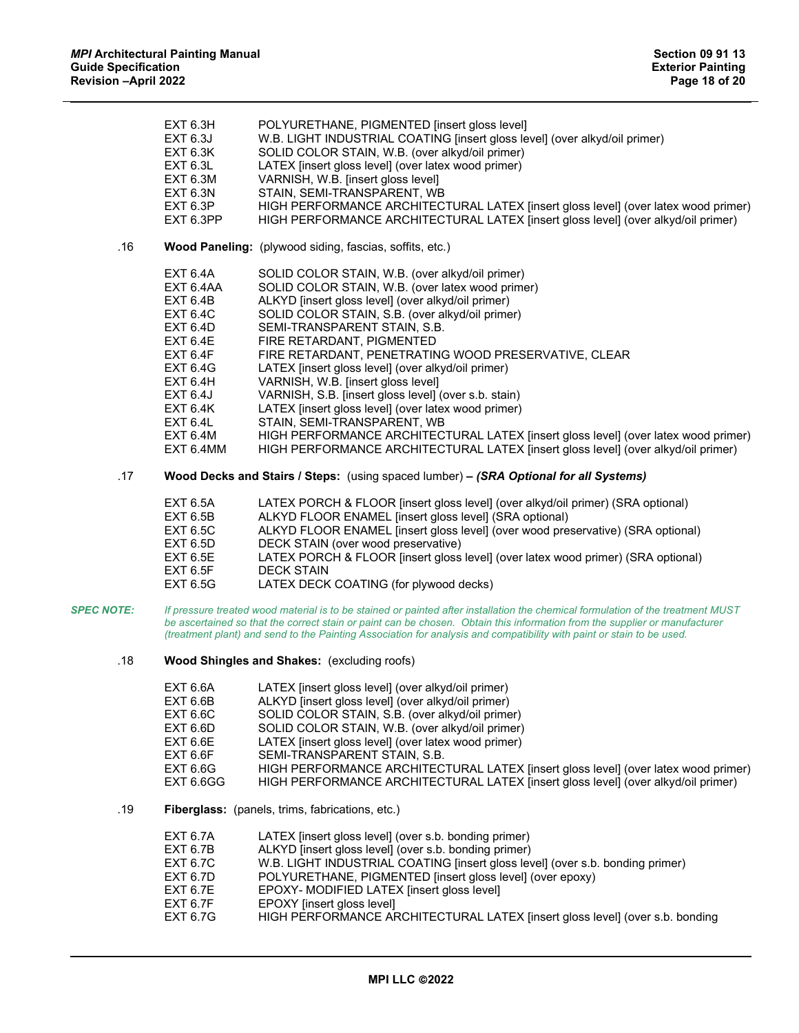|                   | <b>EXT 6.3H</b><br>EXT 6.3J<br><b>EXT 6.3K</b><br>EXT 6.3L<br>EXT 6.3M<br>EXT 6.3N<br>EXT 6.3P<br>EXT 6.3PP                                                                                                             | POLYURETHANE, PIGMENTED [insert gloss level]<br>W.B. LIGHT INDUSTRIAL COATING [insert gloss level] (over alkyd/oil primer)<br>SOLID COLOR STAIN, W.B. (over alkyd/oil primer)<br>LATEX [insert gloss level] (over latex wood primer)<br>VARNISH, W.B. [insert gloss level]<br>STAIN, SEMI-TRANSPARENT, WB<br>HIGH PERFORMANCE ARCHITECTURAL LATEX [insert gloss level] (over latex wood primer)<br>HIGH PERFORMANCE ARCHITECTURAL LATEX [insert gloss level] (over alkyd/oil primer)                                                                                                                                                                                                                                                                   |
|-------------------|-------------------------------------------------------------------------------------------------------------------------------------------------------------------------------------------------------------------------|--------------------------------------------------------------------------------------------------------------------------------------------------------------------------------------------------------------------------------------------------------------------------------------------------------------------------------------------------------------------------------------------------------------------------------------------------------------------------------------------------------------------------------------------------------------------------------------------------------------------------------------------------------------------------------------------------------------------------------------------------------|
| .16               |                                                                                                                                                                                                                         | Wood Paneling: (plywood siding, fascias, soffits, etc.)                                                                                                                                                                                                                                                                                                                                                                                                                                                                                                                                                                                                                                                                                                |
|                   | <b>EXT 6.4A</b><br>EXT 6.4AA<br><b>EXT 6.4B</b><br><b>EXT 6.4C</b><br>EXT 6.4D<br><b>EXT 6.4E</b><br>EXT 6.4F<br><b>EXT 6.4G</b><br>EXT 6.4H<br><b>EXT 6.4J</b><br><b>EXT 6.4K</b><br>EXT 6.4L<br>EXT 6.4M<br>EXT 6.4MM | SOLID COLOR STAIN, W.B. (over alkyd/oil primer)<br>SOLID COLOR STAIN, W.B. (over latex wood primer)<br>ALKYD [insert gloss level] (over alkyd/oil primer)<br>SOLID COLOR STAIN, S.B. (over alkyd/oil primer)<br>SEMI-TRANSPARENT STAIN, S.B.<br>FIRE RETARDANT, PIGMENTED<br>FIRE RETARDANT, PENETRATING WOOD PRESERVATIVE, CLEAR<br>LATEX [insert gloss level] (over alkyd/oil primer)<br>VARNISH, W.B. [insert gloss level]<br>VARNISH, S.B. [insert gloss level] (over s.b. stain)<br>LATEX [insert gloss level] (over latex wood primer)<br>STAIN, SEMI-TRANSPARENT, WB<br>HIGH PERFORMANCE ARCHITECTURAL LATEX [insert gloss level] (over latex wood primer)<br>HIGH PERFORMANCE ARCHITECTURAL LATEX [insert gloss level] (over alkyd/oil primer) |
| .17               |                                                                                                                                                                                                                         | Wood Decks and Stairs / Steps: (using spaced lumber) – (SRA Optional for all Systems)                                                                                                                                                                                                                                                                                                                                                                                                                                                                                                                                                                                                                                                                  |
|                   | EXT 6.5A<br><b>EXT 6.5B</b><br><b>EXT 6.5C</b><br><b>EXT 6.5D</b><br><b>EXT 6.5E</b><br><b>EXT 6.5F</b><br><b>EXT 6.5G</b>                                                                                              | LATEX PORCH & FLOOR [insert gloss level] (over alkyd/oil primer) (SRA optional)<br>ALKYD FLOOR ENAMEL [insert gloss level] (SRA optional)<br>ALKYD FLOOR ENAMEL [insert gloss level] (over wood preservative) (SRA optional)<br>DECK STAIN (over wood preservative)<br>LATEX PORCH & FLOOR [insert gloss level] (over latex wood primer) (SRA optional)<br><b>DECK STAIN</b><br>LATEX DECK COATING (for plywood decks)                                                                                                                                                                                                                                                                                                                                 |
| <b>SPEC NOTE:</b> |                                                                                                                                                                                                                         | If pressure treated wood material is to be stained or painted after installation the chemical formulation of the treatment MUST<br>be ascertained so that the correct stain or paint can be chosen. Obtain this information from the supplier or manufacturer<br>(treatment plant) and send to the Painting Association for analysis and compatibility with paint or stain to be used.                                                                                                                                                                                                                                                                                                                                                                 |
| .18               |                                                                                                                                                                                                                         | <b>Wood Shingles and Shakes:</b> (excluding roofs)                                                                                                                                                                                                                                                                                                                                                                                                                                                                                                                                                                                                                                                                                                     |
|                   | <b>EXT 6.6A</b><br><b>EXT 6.6B</b><br><b>EXT 6.6C</b><br><b>EXT 6.6D</b><br>EXT 6.6E                                                                                                                                    | LATEX [insert gloss level] (over alkyd/oil primer)<br>ALKYD [insert gloss level] (over alkyd/oil primer)<br>SOLID COLOR STAIN, S.B. (over alkyd/oil primer)<br>SOLID COLOR STAIN, W.B. (over alkyd/oil primer)<br>LATEX [insert gloss level] (over latex wood primer)                                                                                                                                                                                                                                                                                                                                                                                                                                                                                  |

- EXT 6.6F SEMI-TRANSPARENT STAIN, S.B.<br>EXT 6.6G HIGH PERFORMANCE ARCHITEC
	- EXT 6.6G HIGH PERFORMANCE ARCHITECTURAL LATEX [insert gloss level] (over latex wood primer)<br>EXT 6.6GG HIGH PERFORMANCE ARCHITECTURAL LATEX [insert gloss level] (over alkyd/oil primer)
	- HIGH PERFORMANCE ARCHITECTURAL LATEX [insert gloss level] (over alkyd/oil primer)
- .19 **Fiberglass:** (panels, trims, fabrications, etc.)

| EXT 6.7A        | LATEX (insert gloss level) (over s.b. bonding primer)                         |
|-----------------|-------------------------------------------------------------------------------|
| EXT 6.7B        | ALKYD [insert gloss level] (over s.b. bonding primer)                         |
| EXT 6.7C        | W.B. LIGHT INDUSTRIAL COATING [insert gloss level] (over s.b. bonding primer) |
| EXT 6.7D        | POLYURETHANE, PIGMENTED [insert gloss level] (over epoxy)                     |
| EXT 6.7E        | EPOXY- MODIFIED LATEX [insert gloss level]                                    |
| EXT 6.7F        | EPOXY [insert gloss level]                                                    |
| <b>EXT 6.7G</b> | HIGH PERFORMANCE ARCHITECTURAL LATEX [insert gloss level] (over s.b. bonding  |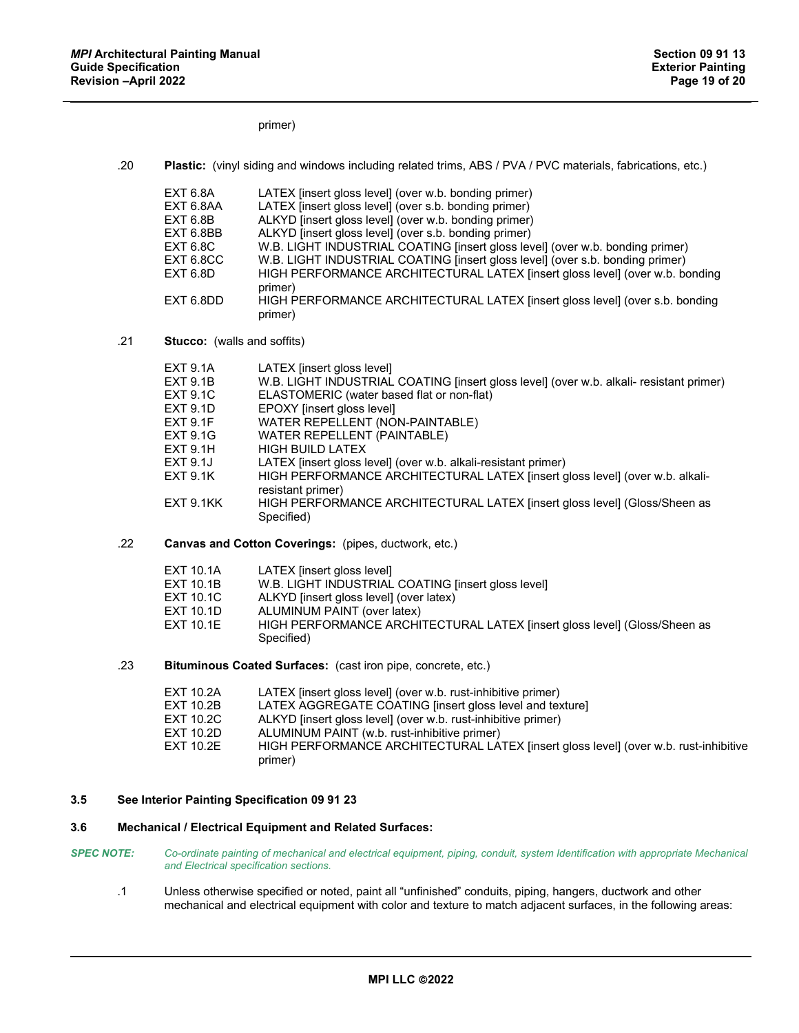primer)

| .20 | Plastic: (vinyl siding and windows including related trims, ABS / PVA / PVC materials, fabrications, etc.) |  |
|-----|------------------------------------------------------------------------------------------------------------|--|
|     |                                                                                                            |  |

| <b>EXT 6.8A</b> | LATEX (insert gloss level) (over w.b. bonding primer)                         |
|-----------------|-------------------------------------------------------------------------------|
| EXT 6.8AA       | LATEX [insert gloss level] (over s.b. bonding primer)                         |
| EXT 6.8B        | ALKYD [insert gloss level] (over w.b. bonding primer)                         |
| EXT 6.8BB       | ALKYD [insert gloss level] (over s.b. bonding primer)                         |
| <b>EXT 6.8C</b> | W.B. LIGHT INDUSTRIAL COATING [insert gloss level] (over w.b. bonding primer) |
| EXT 6.8CC       | W.B. LIGHT INDUSTRIAL COATING [insert gloss level] (over s.b. bonding primer) |
| EXT 6.8D        | HIGH PERFORMANCE ARCHITECTURAL LATEX [insert gloss level] (over w.b. bonding  |
|                 | primer)                                                                       |
| EXT 6.8DD       | HIGH PERFORMANCE ARCHITECTURAL LATEX [insert gloss level] (over s.b. bonding  |
|                 | primer)                                                                       |

.21 **Stucco:** (walls and soffits)

| EXT 9.1A  | LATEX [insert gloss level]                                                                        |
|-----------|---------------------------------------------------------------------------------------------------|
| EXT 9.1B  | W.B. LIGHT INDUSTRIAL COATING [insert gloss level] (over w.b. alkali- resistant primer)           |
| EXT 9.1C  | ELASTOMERIC (water based flat or non-flat)                                                        |
| EXT 9.1D  | EPOXY [insert gloss level]                                                                        |
| EXT 9.1F  | WATER REPELLENT (NON-PAINTABLE)                                                                   |
| EXT 9.1G  | WATER REPELLENT (PAINTABLE)                                                                       |
| EXT 9.1H  | <b>HIGH BUILD LATEX</b>                                                                           |
| EXT 9.1J  | LATEX [insert gloss level] (over w.b. alkali-resistant primer)                                    |
| EXT 9.1K  | HIGH PERFORMANCE ARCHITECTURAL LATEX [insert gloss level] (over w.b. alkali-<br>resistant primer) |
| EXT 9.1KK | HIGH PERFORMANCE ARCHITECTURAL LATEX [insert gloss level] (Gloss/Sheen as<br>Specified)           |

.22 **Canvas and Cotton Coverings:** (pipes, ductwork, etc.)

| EXT 10.1A | LATEX linsert aloss levell                                                |
|-----------|---------------------------------------------------------------------------|
| EXT 10.1B | W.B. LIGHT INDUSTRIAL COATING [insert gloss level]                        |
| EXT 10.1C | ALKYD [insert gloss level] (over latex)                                   |
| EXT 10.1D | ALUMINUM PAINT (over latex)                                               |
| EXT 10.1E | HIGH PERFORMANCE ARCHITECTURAL LATEX [insert gloss level] (Gloss/Sheen as |
|           | Specified)                                                                |

.23 **Bituminous Coated Surfaces:** (cast iron pipe, concrete, etc.)

| EXT 10.2A | LATEX (insert gloss level) (over w.b. rust-inhibitive primer)                        |
|-----------|--------------------------------------------------------------------------------------|
| EXT 10.2B | LATEX AGGREGATE COATING [insert gloss level and texture]                             |
| EXT 10.2C | ALKYD [insert gloss level] (over w.b. rust-inhibitive primer)                        |
| EXT 10.2D | ALUMINUM PAINT (w.b. rust-inhibitive primer)                                         |
| EXT 10.2E | HIGH PERFORMANCE ARCHITECTURAL LATEX [insert gloss level] (over w.b. rust-inhibitive |
|           | primer)                                                                              |

# **3.5 See Interior Painting Specification 09 91 23**

# **3.6 Mechanical / Electrical Equipment and Related Surfaces:**

- *SPEC NOTE: Co-ordinate painting of mechanical and electrical equipment, piping, conduit, system Identification with appropriate Mechanical and Electrical specification sections.*
	- .1 Unless otherwise specified or noted, paint all "unfinished" conduits, piping, hangers, ductwork and other mechanical and electrical equipment with color and texture to match adjacent surfaces, in the following areas: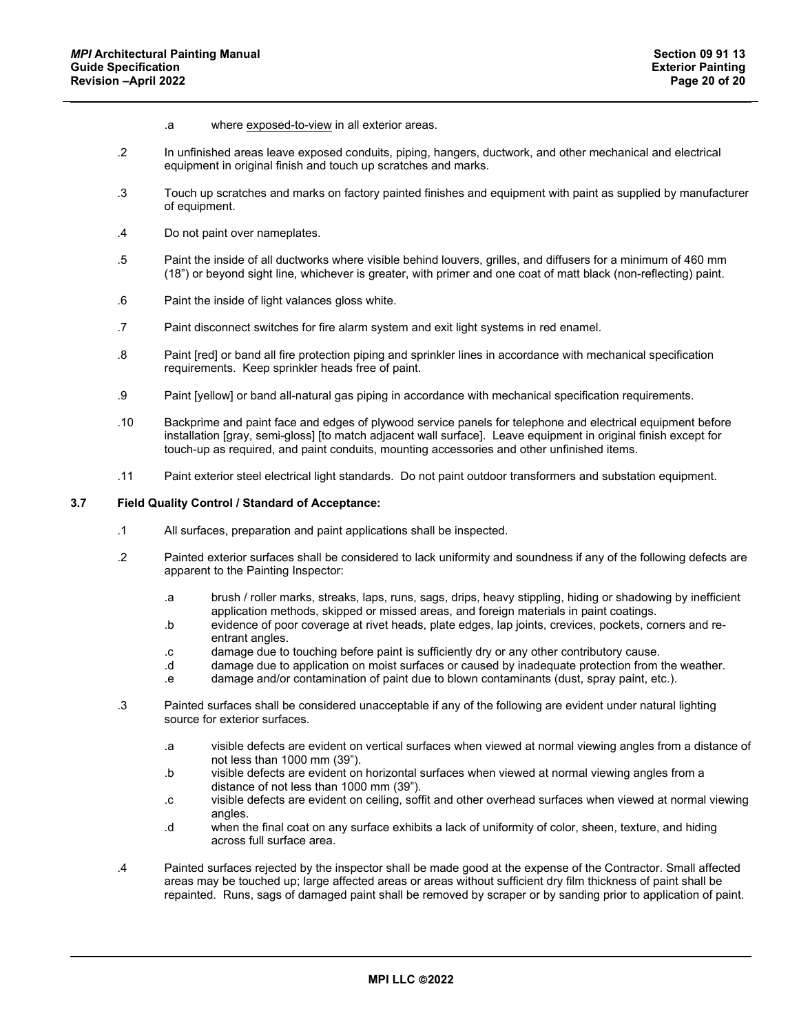- .a where exposed-to-view in all exterior areas.
- .2 In unfinished areas leave exposed conduits, piping, hangers, ductwork, and other mechanical and electrical equipment in original finish and touch up scratches and marks.
- .3 Touch up scratches and marks on factory painted finishes and equipment with paint as supplied by manufacturer of equipment.
- .4 Do not paint over nameplates.
- .5 Paint the inside of all ductworks where visible behind louvers, grilles, and diffusers for a minimum of 460 mm (18") or beyond sight line, whichever is greater, with primer and one coat of matt black (non-reflecting) paint.
- .6 Paint the inside of light valances gloss white.
- .7 Paint disconnect switches for fire alarm system and exit light systems in red enamel.
- .8 Paint [red] or band all fire protection piping and sprinkler lines in accordance with mechanical specification requirements. Keep sprinkler heads free of paint.
- .9 Paint [yellow] or band all-natural gas piping in accordance with mechanical specification requirements.
- .10 Backprime and paint face and edges of plywood service panels for telephone and electrical equipment before installation [gray, semi-gloss] [to match adjacent wall surface]. Leave equipment in original finish except for touch-up as required, and paint conduits, mounting accessories and other unfinished items.
- .11 Paint exterior steel electrical light standards. Do not paint outdoor transformers and substation equipment.

# **3.7 Field Quality Control / Standard of Acceptance:**

- .1 All surfaces, preparation and paint applications shall be inspected.
- .2 Painted exterior surfaces shall be considered to lack uniformity and soundness if any of the following defects are apparent to the Painting Inspector:
	- .a brush / roller marks, streaks, laps, runs, sags, drips, heavy stippling, hiding or shadowing by inefficient application methods, skipped or missed areas, and foreign materials in paint coatings.
	- .b evidence of poor coverage at rivet heads, plate edges, lap joints, crevices, pockets, corners and reentrant angles.
	- .c damage due to touching before paint is sufficiently dry or any other contributory cause.
	- .d damage due to application on moist surfaces or caused by inadequate protection from the weather.
	- .e damage and/or contamination of paint due to blown contaminants (dust, spray paint, etc.).
- .3 Painted surfaces shall be considered unacceptable if any of the following are evident under natural lighting source for exterior surfaces.
	- .a visible defects are evident on vertical surfaces when viewed at normal viewing angles from a distance of not less than 1000 mm (39").
	- .b visible defects are evident on horizontal surfaces when viewed at normal viewing angles from a distance of not less than 1000 mm (39").
	- .c visible defects are evident on ceiling, soffit and other overhead surfaces when viewed at normal viewing angles.
	- .d when the final coat on any surface exhibits a lack of uniformity of color, sheen, texture, and hiding across full surface area.
- .4 Painted surfaces rejected by the inspector shall be made good at the expense of the Contractor. Small affected areas may be touched up; large affected areas or areas without sufficient dry film thickness of paint shall be repainted. Runs, sags of damaged paint shall be removed by scraper or by sanding prior to application of paint.